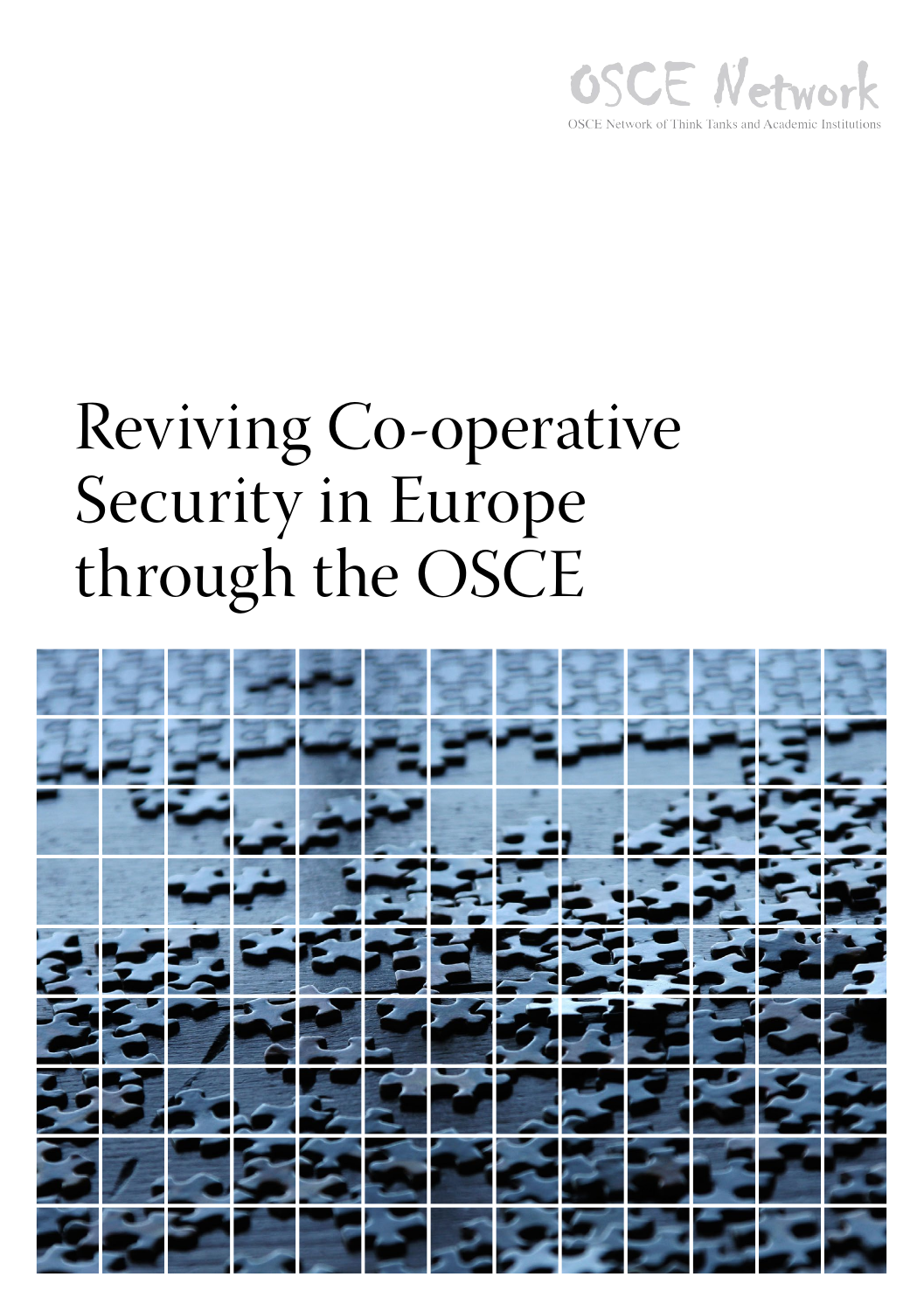

### Reviving Co-operative Security in Europe through the OSCE

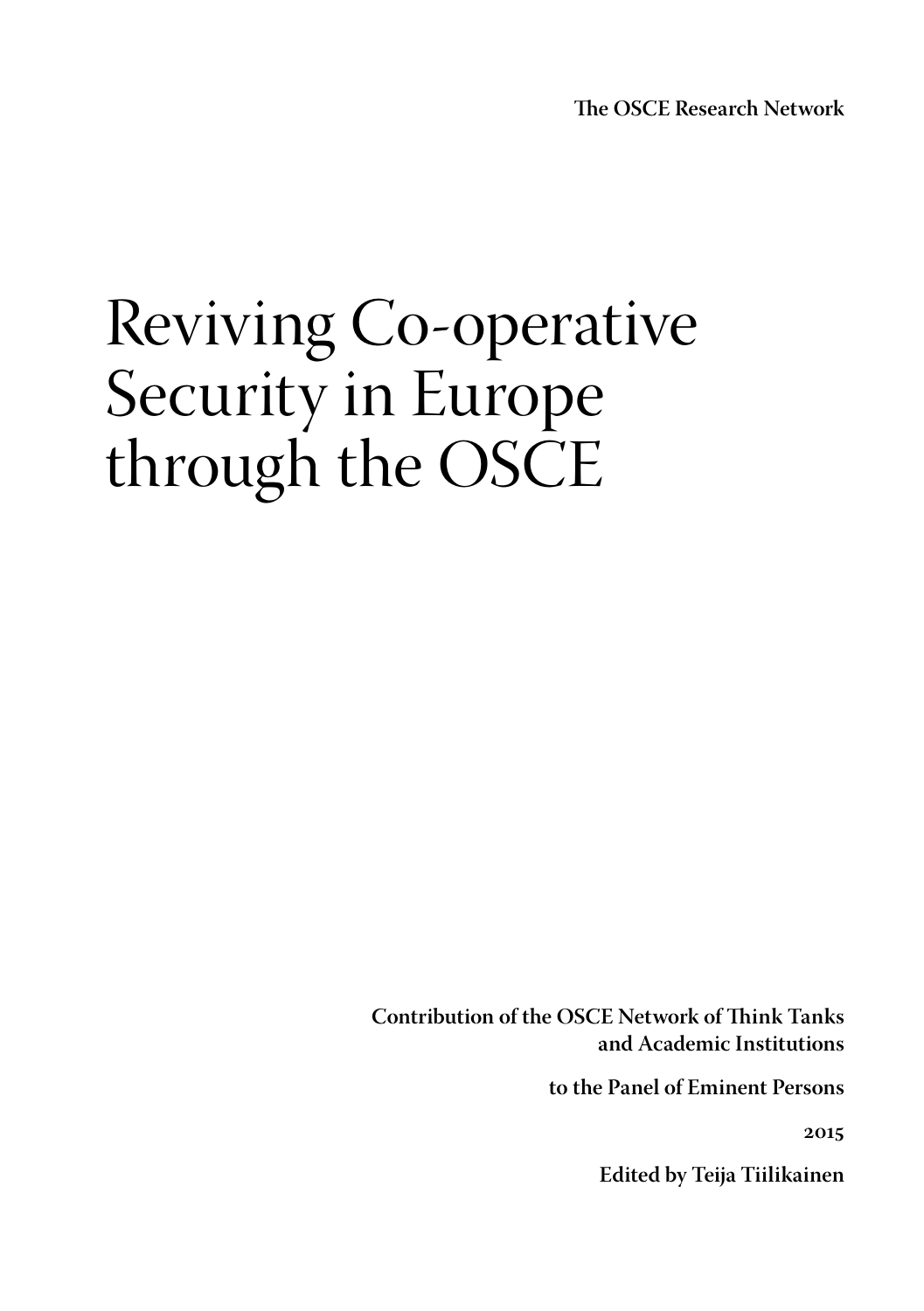**The OSCE Research Network**

### Reviving Co-operative Security in Europe through the OSCE

**Contribution of the OSCE Network of Think Tanks and Academic Institutions** 

**to the Panel of Eminent Persons**

**2015**

**Edited by Teija Tiilikainen**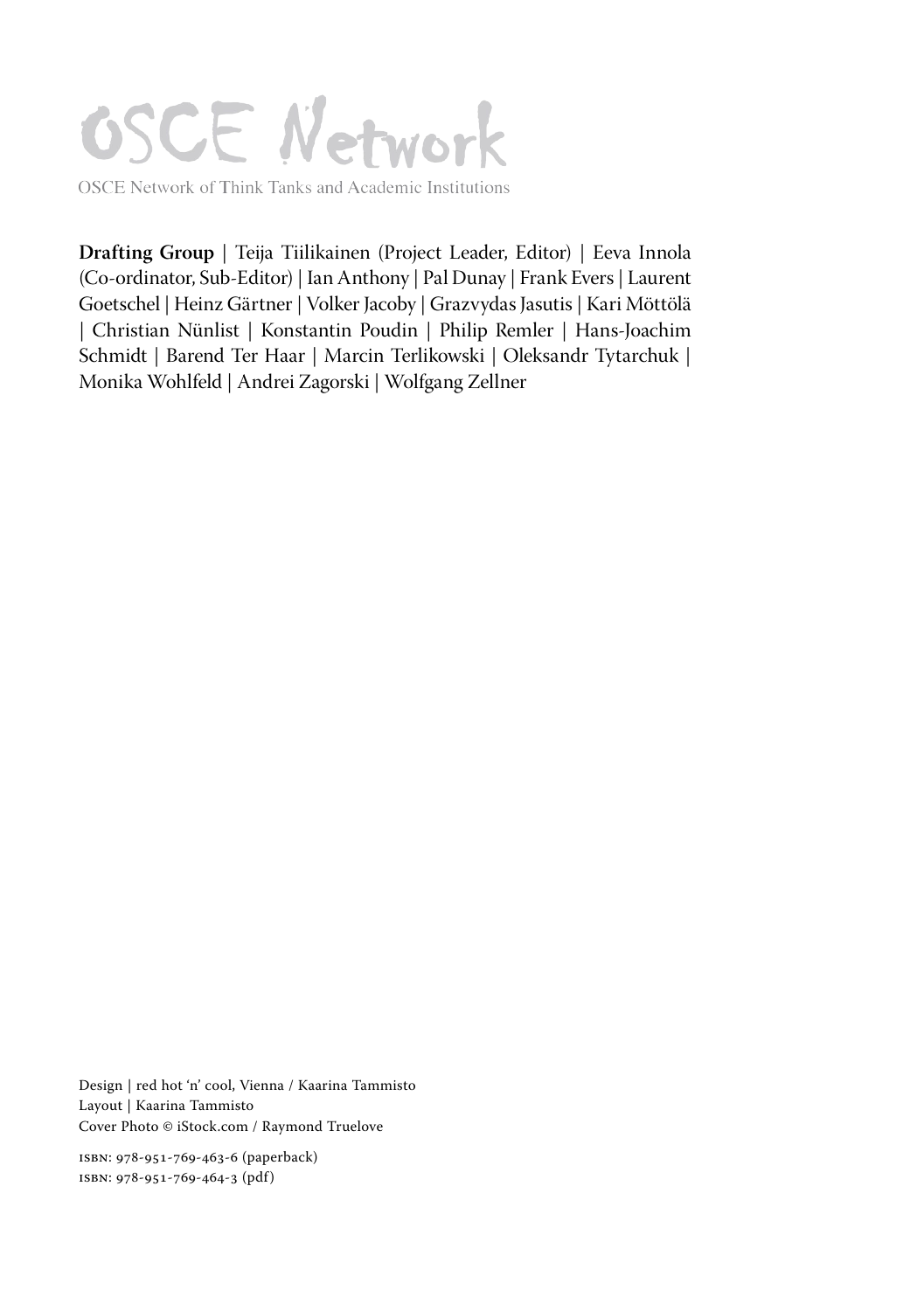## **OSCE Network**

OSCE Network of Think Tanks and Academic Institutions

**Drafting Group** | Teija Tiilikainen (Project Leader, Editor) | Eeva Innola (Co-ordinator, Sub-Editor) | Ian Anthony | Pal Dunay | Frank Evers | Laurent Goetschel | Heinz Gärtner | Volker Jacoby | Grazvydas Jasutis | Kari Möttölä | Christian Nünlist | Konstantin Poudin | Philip Remler | Hans-Joachim Schmidt | Barend Ter Haar | Marcin Terlikowski | Oleksandr Tytarchuk | Monika Wohlfeld | Andrei Zagorski | Wolfgang Zellner

Design | red hot 'n' cool, Vienna / Kaarina Tammisto Layout | Kaarina Tammisto Cover Photo © iStock.com / Raymond Truelove

ISBN: 978-951-769-463-6 (paperback) ISBN: 978-951-769-464-3 (pdf)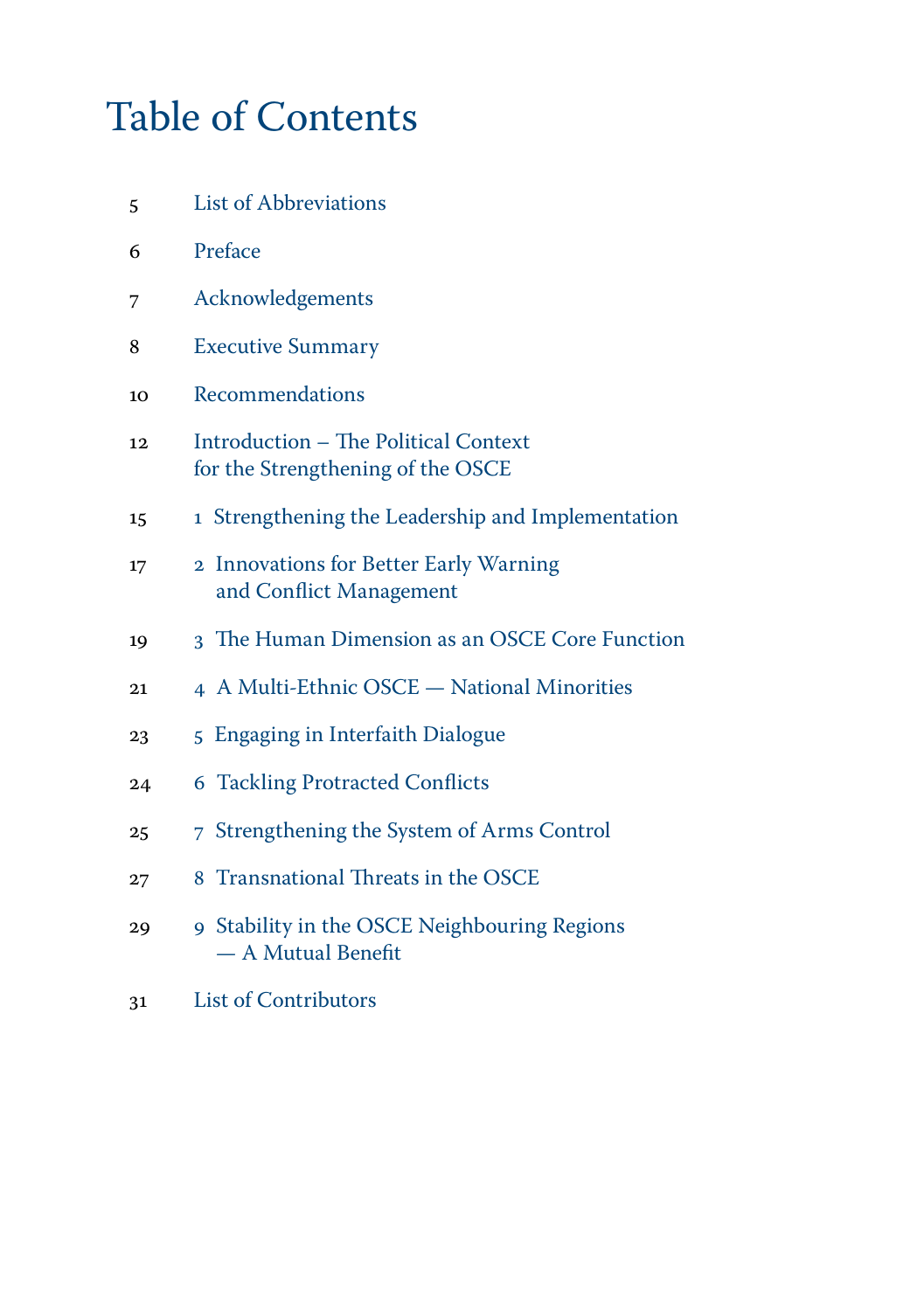### Table of Contents

- [5 List of Abbreviations](#page-4-0)
- [6 Preface](#page-5-0)
- [7 Acknowledgements](#page-6-0)
- [8 Executive Summary](#page-7-0)
- [10 Recommendations](#page-9-0)
- [12 Introduction The Political Context](#page-11-0)   [for the Strengthening of the OSCE](#page-11-0)
- 15 1 [Strengthening the Leadership and Implementation](#page-13-0)
- 17 2 [Innovations for Better Early Warning](#page-15-0)   [and Conflict Management](#page-15-0)
- 19 3 [The Human Dimension as an OSCE Core Function](#page-17-0)
- 21 4 [A Multi-Ethnic OSCE National Minorities](#page-19-0)
- 23 5 [Engaging in Interfaith Dialogue](#page-21-0)
- 24 6 [Tackling Protracted Conflicts](#page-22-0)
- 25 7 [Strengthening the System of Arms Control](#page-23-0)
- 27 8 Transnational Threats in the OSCE
- 29 9 [Stability in the OSCE Neighbouring Regions](#page-27-0)  [— A](#page-27-0) Mutual Benefit
- [31 List of Contributors](#page-29-0)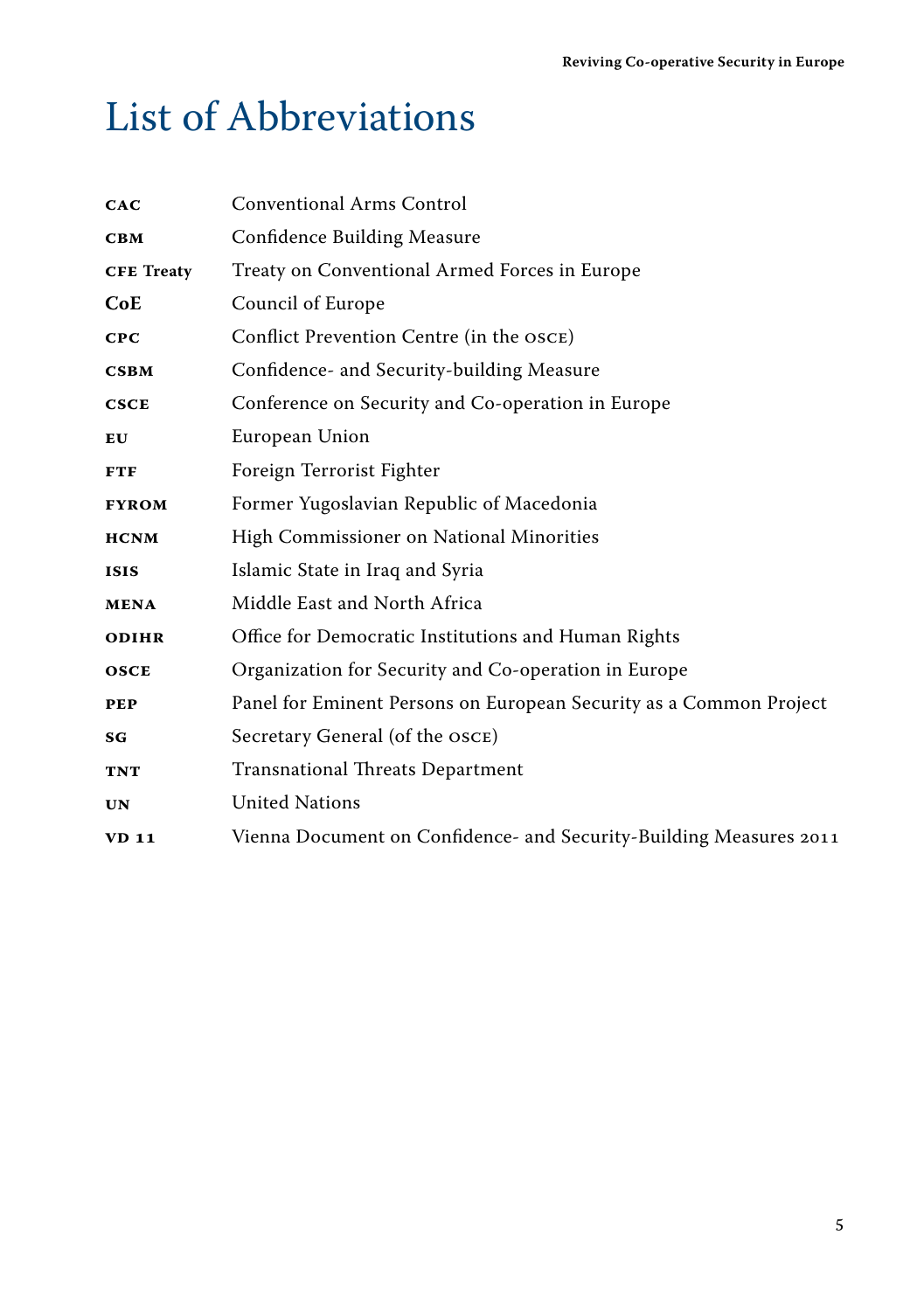### <span id="page-4-0"></span>List of Abbreviations

| CAC                           | <b>Conventional Arms Control</b>                                   |
|-------------------------------|--------------------------------------------------------------------|
| $\mathbf C\mathbf B\mathbf M$ | <b>Confidence Building Measure</b>                                 |
| <b>CFE Treaty</b>             | Treaty on Conventional Armed Forces in Europe                      |
| CoE                           | Council of Europe                                                  |
| CPC                           | Conflict Prevention Centre (in the OSCE)                           |
| <b>CSBM</b>                   | Confidence- and Security-building Measure                          |
| <b>CSCE</b>                   | Conference on Security and Co-operation in Europe                  |
| $E$ U                         | European Union                                                     |
| <b>FTF</b>                    | Foreign Terrorist Fighter                                          |
| <b>FYROM</b>                  | Former Yugoslavian Republic of Macedonia                           |
| <b>HCNM</b>                   | High Commissioner on National Minorities                           |
| <b>ISIS</b>                   | Islamic State in Iraq and Syria                                    |
| <b>MENA</b>                   | Middle East and North Africa                                       |
| <b>ODIHR</b>                  | Office for Democratic Institutions and Human Rights                |
| <b>OSCE</b>                   | Organization for Security and Co-operation in Europe               |
| <b>PEP</b>                    | Panel for Eminent Persons on European Security as a Common Project |
| SG                            | Secretary General (of the OSCE)                                    |
| <b>TNT</b>                    | <b>Transnational Threats Department</b>                            |
| <b>UN</b>                     | <b>United Nations</b>                                              |
| <b>VD 11</b>                  | Vienna Document on Confidence- and Security-Building Measures 2011 |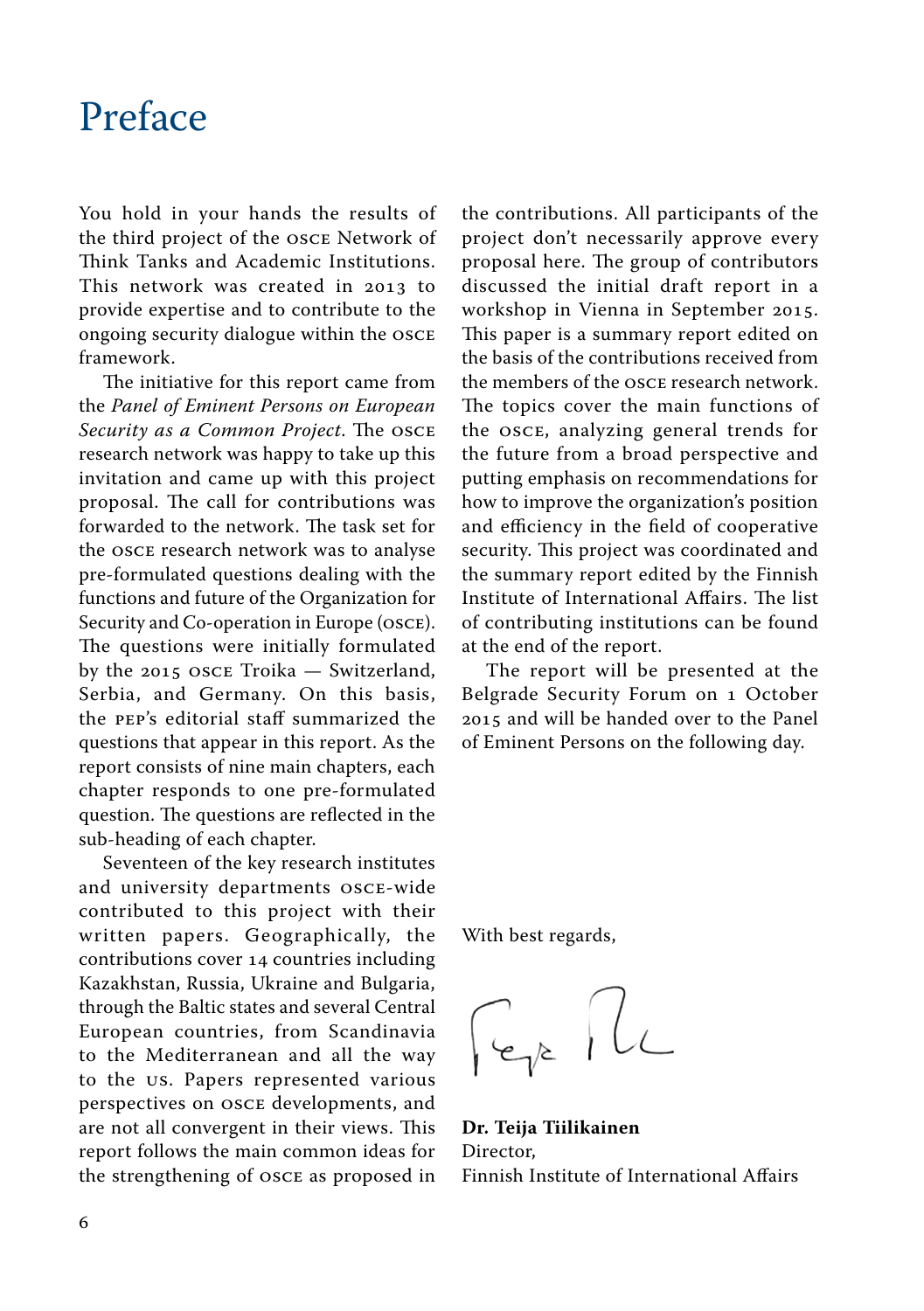#### <span id="page-5-0"></span>Preface

You hold in your hands the results of the third project of the OSCE Network of Think Tanks and Academic Institutions. This network was created in 2013 to provide expertise and to contribute to the ongoing security dialogue within the OSCE framework.

The initiative for this report came from the *Panel of Eminent Persons on European Security as a Common Project*. The OSCE research network was happy to take up this invitation and came up with this project proposal. The call for contributions was forwarded to the network. The task set for the OSCE research network was to analyse pre-formulated questions dealing with the functions and future of the Organization for Security and Co-operation in Europe (OSCE). The questions were initially formulated by the 2015 OSCE Troika — Switzerland, Serbia, and Germany. On this basis, the PEP's editorial staff summarized the questions that appear in this report. As the report consists of nine main chapters, each chapter responds to one pre-formulated question. The questions are reflected in the sub-heading of each chapter.

Seventeen of the key research institutes and university departments OSCE-wide contributed to this project with their written papers. Geographically, the contributions cover 14 countries including Kazakhstan, Russia, Ukraine and Bulgaria, through the Baltic states and several Central European countries, from Scandinavia to the Mediterranean and all the way to the US. Papers represented various perspectives on OSCE developments, and are not all convergent in their views. This report follows the main common ideas for the strengthening of OSCE as proposed in the contributions. All participants of the project don't necessarily approve every proposal here. The group of contributors discussed the initial draft report in a workshop in Vienna in September 2015. This paper is a summary report edited on the basis of the contributions received from the members of the OSCE research network. The topics cover the main functions of the OSCE, analyzing general trends for the future from a broad perspective and putting emphasis on recommendations for how to improve the organization's position and efficiency in the field of cooperative security. This project was coordinated and the summary report edited by the Finnish Institute of International Affairs. The list of contributing institutions can be found at the end of the report.

The report will be presented at the Belgrade Security Forum on 1 October 2015 and will be handed over to the Panel of Eminent Persons on the following day.

With best regards,

Fer PL

**Dr. Teija Tiilikainen** Director, Finnish Institute of International Affairs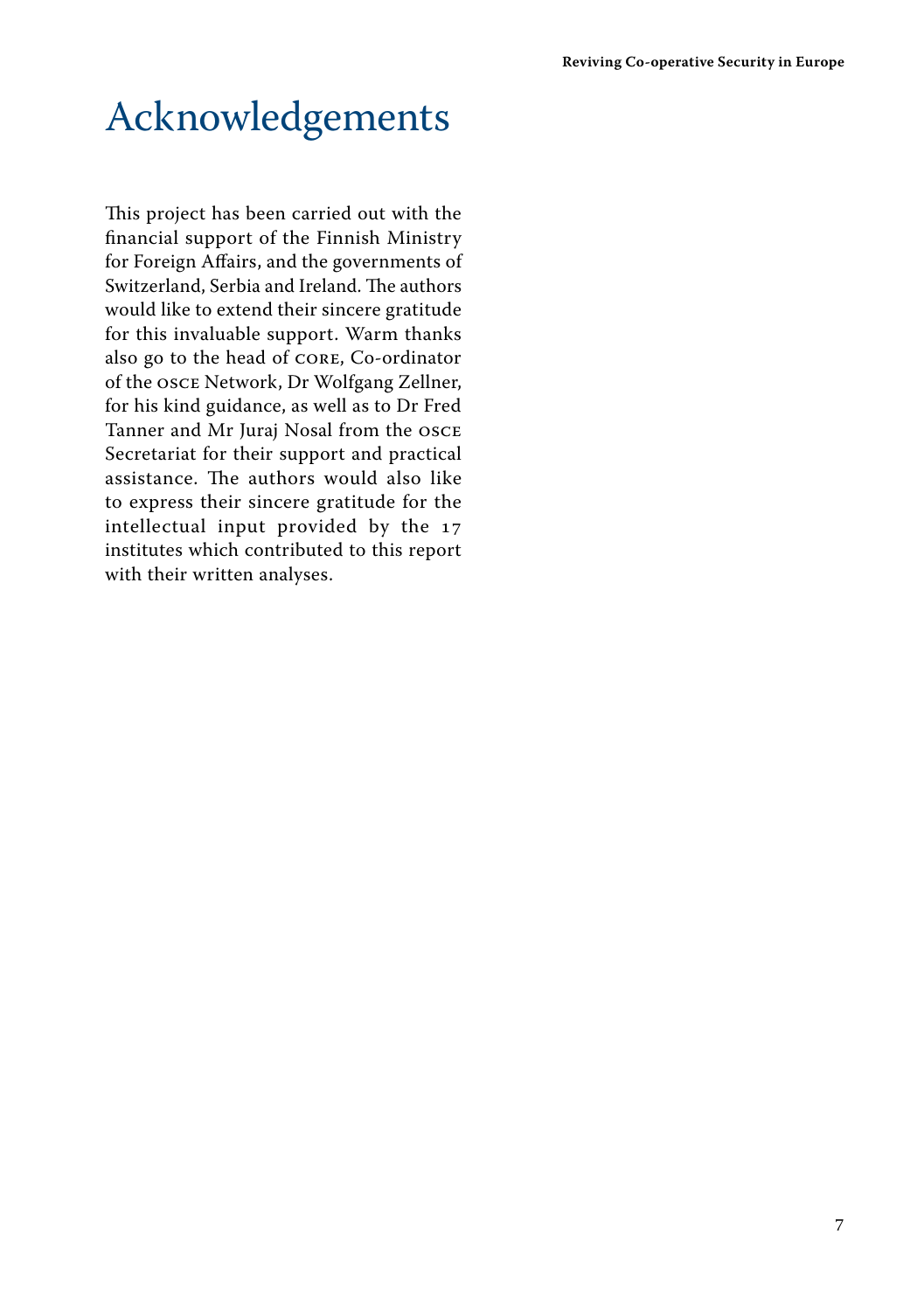### <span id="page-6-0"></span>Acknowledgements

This project has been carried out with the financial support of the Finnish Ministry for Foreign Affairs, and the governments of Switzerland, Serbia and Ireland. The authors would like to extend their sincere gratitude for this invaluable support. Warm thanks also go to the head of CORE, Co-ordinator of the OSCE Network, Dr Wolfgang Zellner, for his kind guidance, as well as to Dr Fred Tanner and Mr Juraj Nosal from the OSCE Secretariat for their support and practical assistance. The authors would also like to express their sincere gratitude for the intellectual input provided by the 17 institutes which contributed to this report with their written analyses.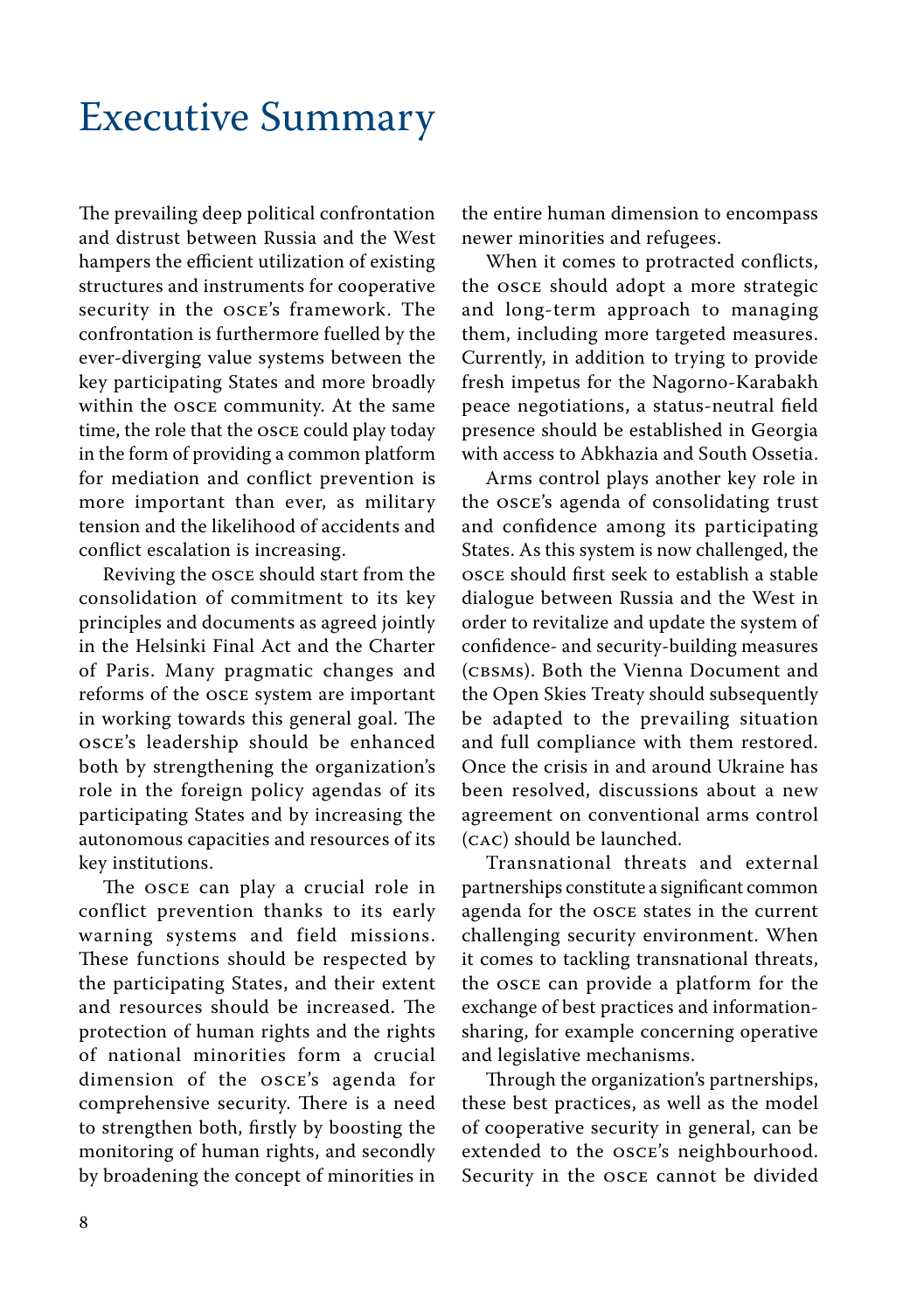### <span id="page-7-0"></span>Executive Summary

The prevailing deep political confrontation and distrust between Russia and the West hampers the efficient utilization of existing structures and instruments for cooperative security in the OSCE's framework. The confrontation is furthermore fuelled by the ever-diverging value systems between the key participating States and more broadly within the OSCE community. At the same time, the role that the OSCE could play today in the form of providing a common platform for mediation and conflict prevention is more important than ever, as military tension and the likelihood of accidents and conflict escalation is increasing.

Reviving the OSCE should start from the consolidation of commitment to its key principles and documents as agreed jointly in the Helsinki Final Act and the Charter of Paris. Many pragmatic changes and reforms of the OSCE system are important in working towards this general goal. The OSCE's leadership should be enhanced both by strengthening the organization's role in the foreign policy agendas of its participating States and by increasing the autonomous capacities and resources of its key institutions.

The OSCE can play a crucial role in conflict prevention thanks to its early warning systems and field missions. These functions should be respected by the participating States, and their extent and resources should be increased. The protection of human rights and the rights of national minorities form a crucial dimension of the OSCE's agenda for comprehensive security. There is a need to strengthen both, firstly by boosting the monitoring of human rights, and secondly by broadening the concept of minorities in the entire human dimension to encompass newer minorities and refugees.

When it comes to protracted conflicts, the OSCE should adopt a more strategic and long-term approach to managing them, including more targeted measures. Currently, in addition to trying to provide fresh impetus for the Nagorno-Karabakh peace negotiations, a status-neutral field presence should be established in Georgia with access to Abkhazia and South Ossetia.

Arms control plays another key role in the OSCE's agenda of consolidating trust and confidence among its participating States. As this system is now challenged, the OSCE should first seek to establish a stable dialogue between Russia and the West in order to revitalize and update the system of confidence- and security-building measures (CBSMs). Both the Vienna Document and the Open Skies Treaty should subsequently be adapted to the prevailing situation and full compliance with them restored. Once the crisis in and around Ukraine has been resolved, discussions about a new agreement on conventional arms control (CAC) should be launched.

Transnational threats and external partnerships constitute a significant common agenda for the OSCE states in the current challenging security environment. When it comes to tackling transnational threats, the OSCE can provide a platform for the exchange of best practices and informationsharing, for example concerning operative and legislative mechanisms.

Through the organization's partnerships, these best practices, as well as the model of cooperative security in general, can be extended to the OSCE's neighbourhood. Security in the OSCE cannot be divided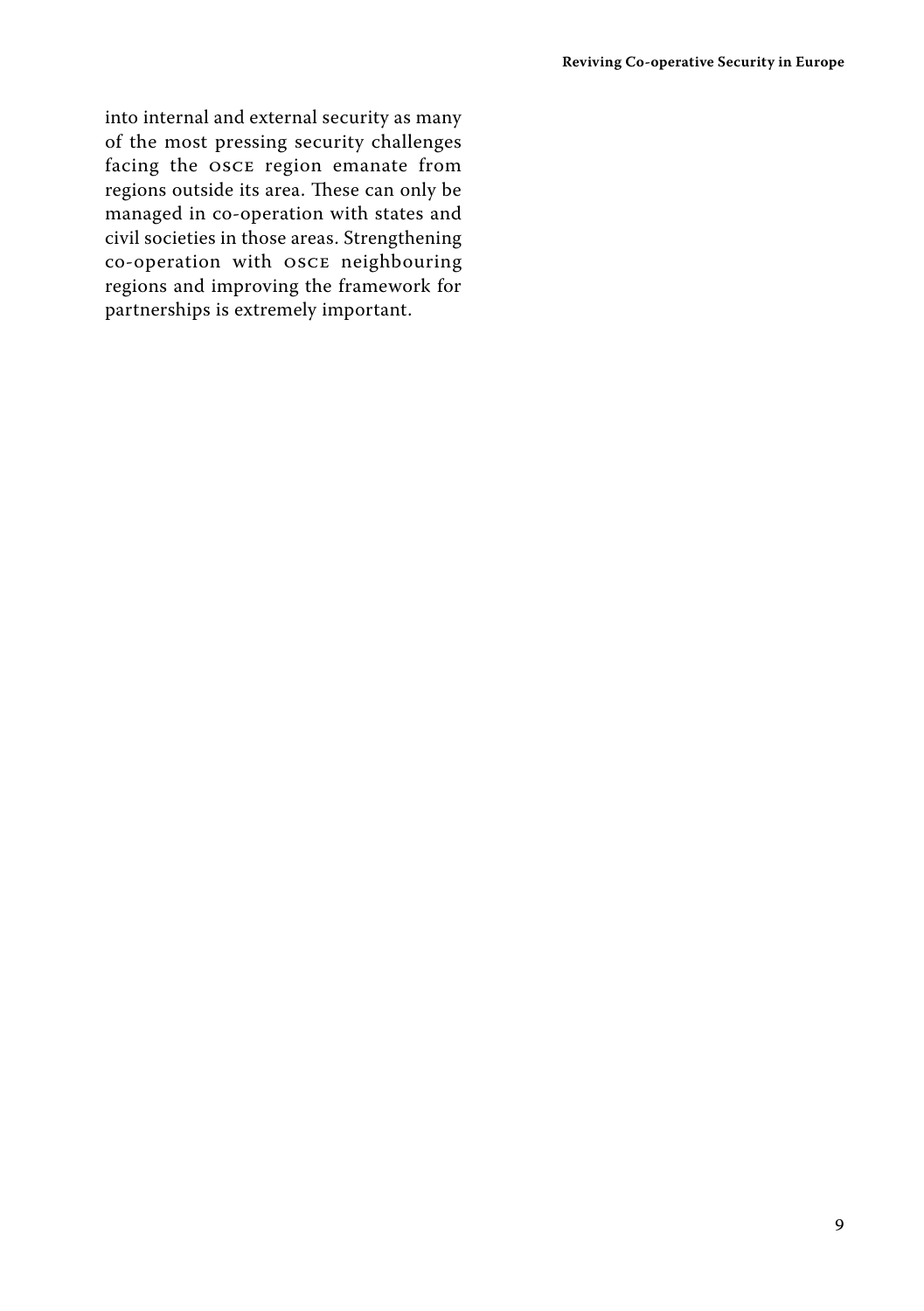into internal and external security as many of the most pressing security challenges facing the OSCE region emanate from regions outside its area. These can only be managed in co-operation with states and civil societies in those areas. Strengthening co-operation with OSCE neighbouring regions and improving the framework for partnerships is extremely important.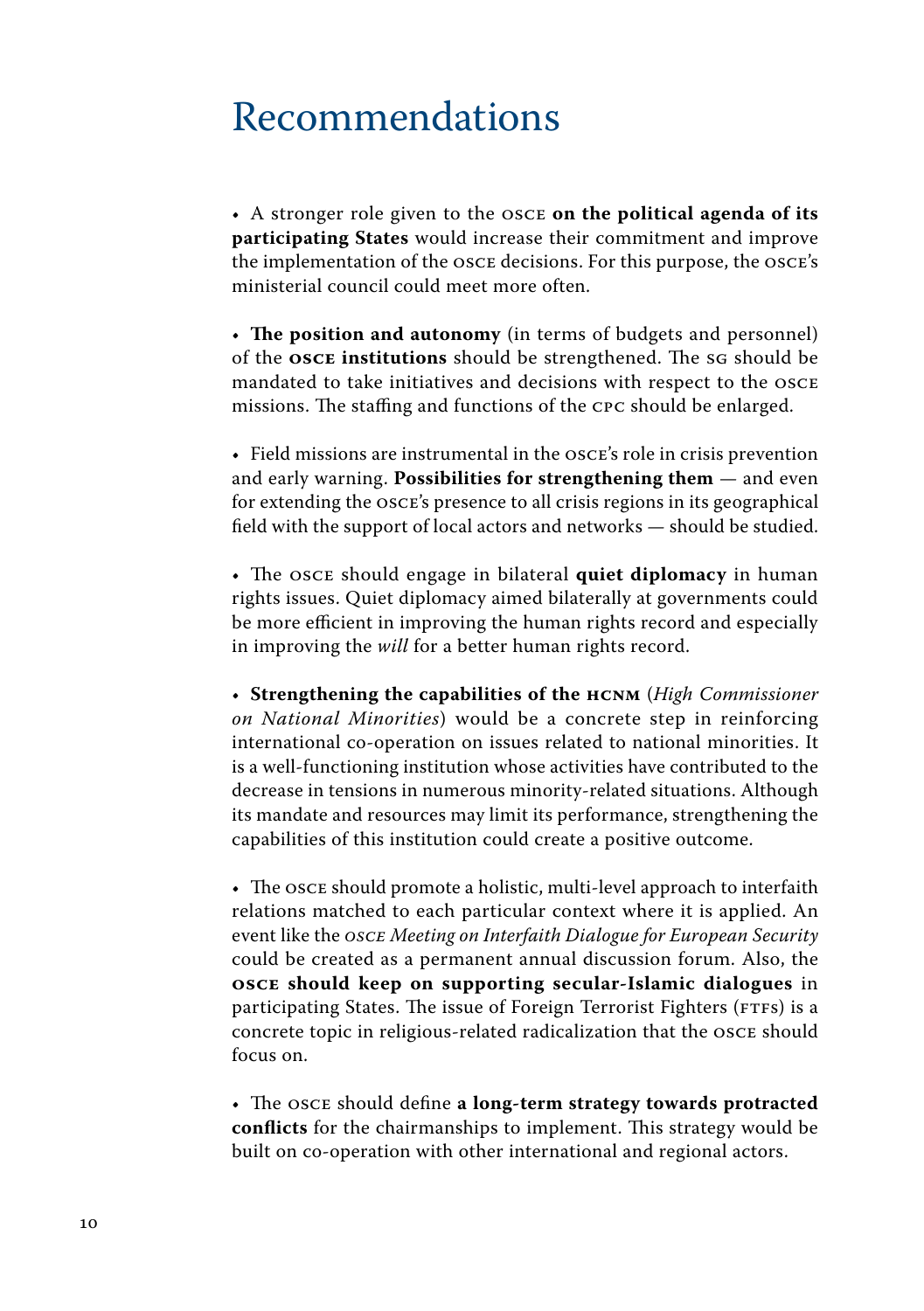#### <span id="page-9-0"></span>Recommendations

• A stronger role given to the OSCE **on the political agenda of its participating States** would increase their commitment and improve the implementation of the OSCE decisions. For this purpose, the OSCE's ministerial council could meet more often.

• **The position and autonomy** (in terms of budgets and personnel) of the **OSCE institutions** should be strengthened. The SG should be mandated to take initiatives and decisions with respect to the OSCE missions. The staffing and functions of the CPC should be enlarged.

• Field missions are instrumental in the OSCE's role in crisis prevention and early warning. **Possibilities for strengthening them** — and even for extending the OSCE's presence to all crisis regions in its geographical field with the support of local actors and networks — should be studied.

• The OSCE should engage in bilateral **quiet diplomacy** in human rights issues. Quiet diplomacy aimed bilaterally at governments could be more efficient in improving the human rights record and especially in improving the *will* for a better human rights record.

• **Strengthening the capabilities of the HCNM** (*High Commissioner on National Minorities*) would be a concrete step in reinforcing international co-operation on issues related to national minorities. It is a well-functioning institution whose activities have contributed to the decrease in tensions in numerous minority-related situations. Although its mandate and resources may limit its performance, strengthening the capabilities of this institution could create a positive outcome.

• The OSCE should promote a holistic, multi-level approach to interfaith relations matched to each particular context where it is applied. An event like the *OSCE Meeting on Interfaith Dialogue for European Security*  could be created as a permanent annual discussion forum. Also, the **OSCE should keep on supporting secular-Islamic dialogues** in participating States. The issue of Foreign Terrorist Fighters (FTFs) is a concrete topic in religious-related radicalization that the OSCE should focus on.

• The OSCE should define **a long-term strategy towards protracted conflicts** for the chairmanships to implement. This strategy would be built on co-operation with other international and regional actors.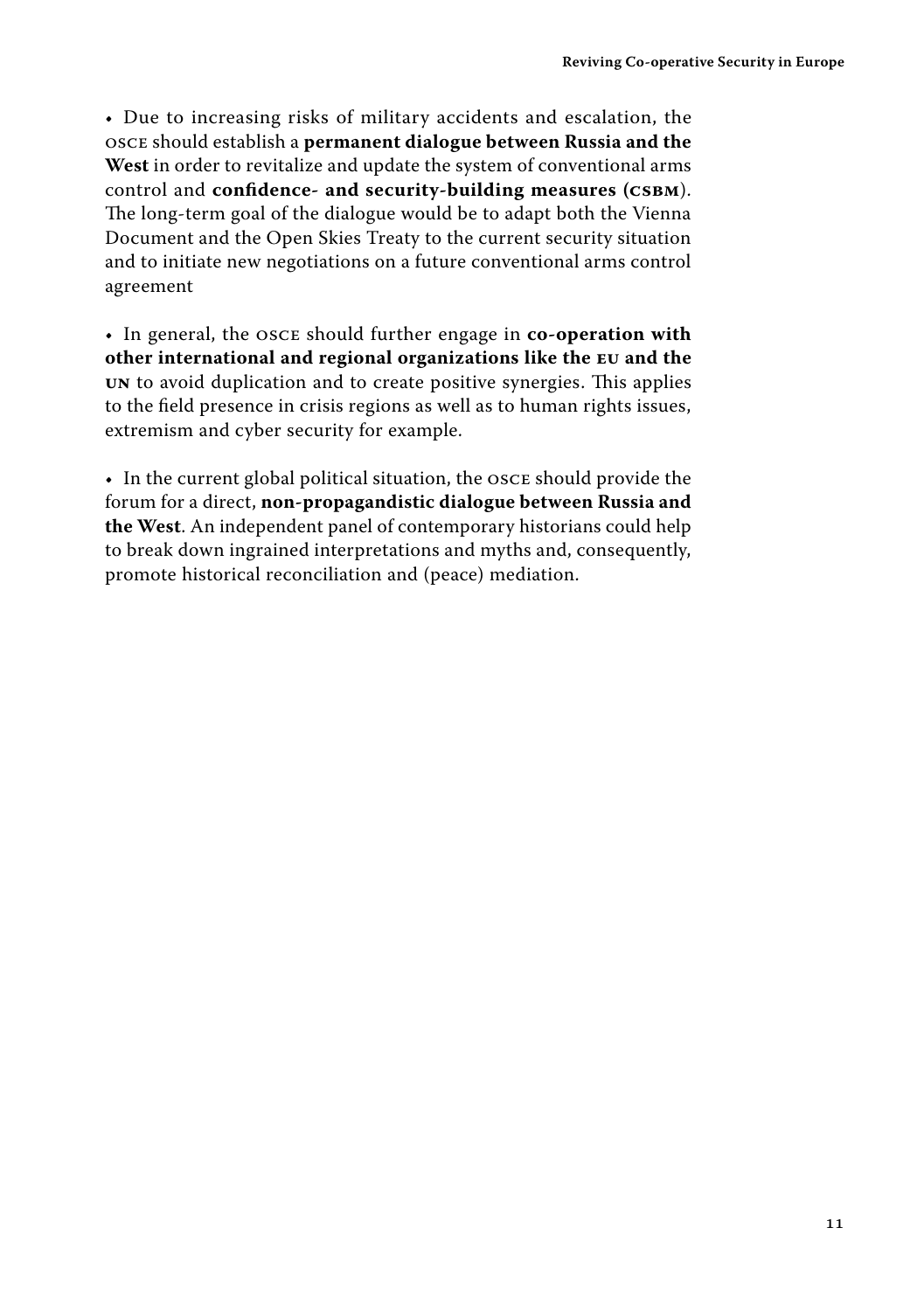• Due to increasing risks of military accidents and escalation, the OSCE should establish a **permanent dialogue between Russia and the West** in order to revitalize and update the system of conventional arms control and **confidence- and security-building measures (CSBM**). The long-term goal of the dialogue would be to adapt both the Vienna Document and the Open Skies Treaty to the current security situation and to initiate new negotiations on a future conventional arms control agreement

• In general, the OSCE should further engage in **co-operation with other international and regional organizations like the EU and the UN** to avoid duplication and to create positive synergies. This applies to the field presence in crisis regions as well as to human rights issues, extremism and cyber security for example.

• In the current global political situation, the OSCE should provide the forum for a direct, **non-propagandistic dialogue between Russia and the West**. An independent panel of contemporary historians could help to break down ingrained interpretations and myths and, consequently, promote historical reconciliation and (peace) mediation.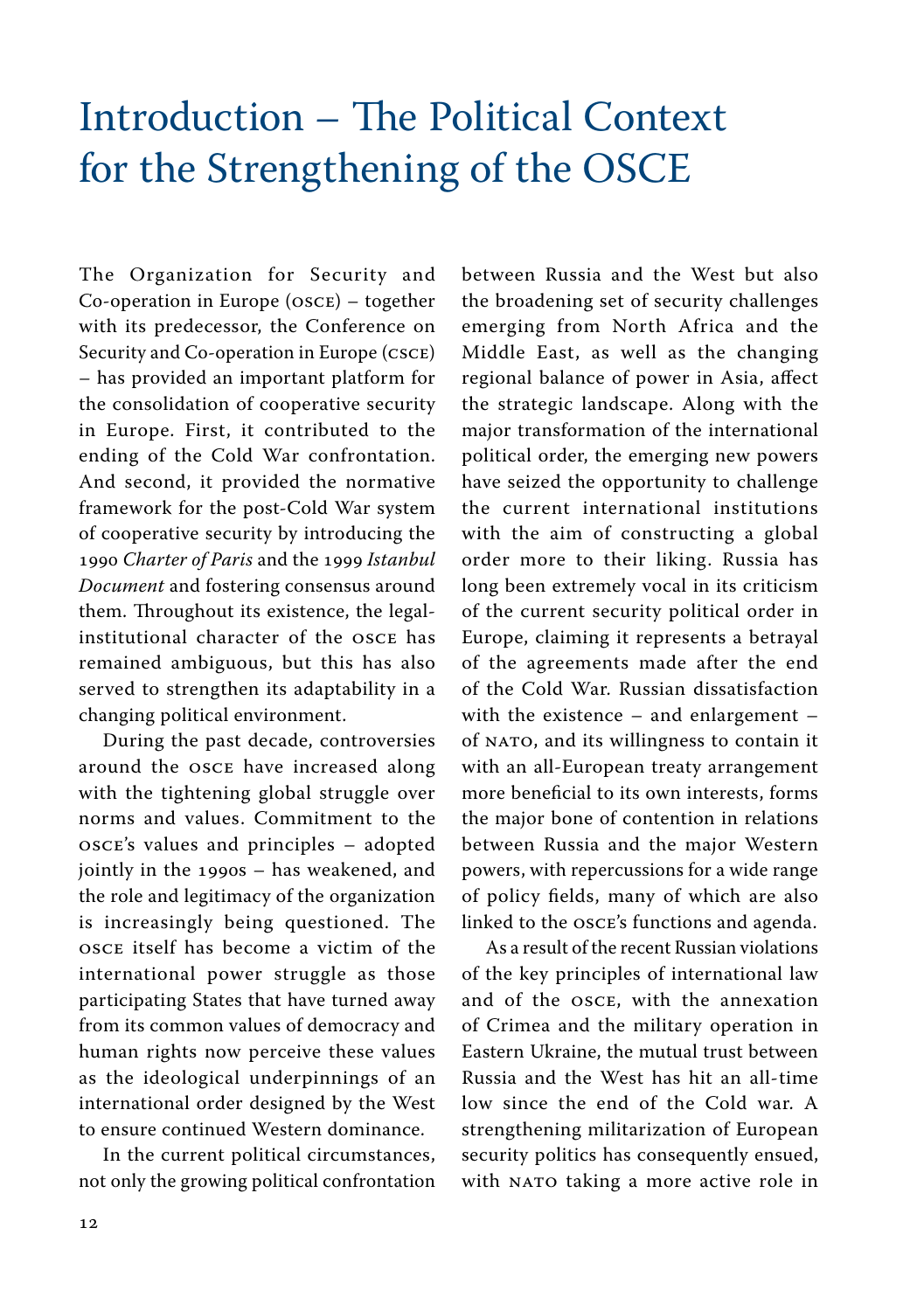### <span id="page-11-0"></span>Introduction – The Political Context for the Strengthening of the OSCE

The Organization for Security and Co-operation in Europe (OSCE) – together with its predecessor, the Conference on Security and Co-operation in Europe (CSCE) – has provided an important platform for the consolidation of cooperative security in Europe. First, it contributed to the ending of the Cold War confrontation. And second, it provided the normative framework for the post-Cold War system of cooperative security by introducing the 1990 *Charter of Paris* and the 1999 *Istanbul Document* and fostering consensus around them. Throughout its existence, the legalinstitutional character of the OSCE has remained ambiguous, but this has also served to strengthen its adaptability in a changing political environment.

During the past decade, controversies around the OSCE have increased along with the tightening global struggle over norms and values. Commitment to the OSCE's values and principles – adopted jointly in the 1990s – has weakened, and the role and legitimacy of the organization is increasingly being questioned. The OSCE itself has become a victim of the international power struggle as those participating States that have turned away from its common values of democracy and human rights now perceive these values as the ideological underpinnings of an international order designed by the West to ensure continued Western dominance.

In the current political circumstances, not only the growing political confrontation between Russia and the West but also the broadening set of security challenges emerging from North Africa and the Middle East, as well as the changing regional balance of power in Asia, affect the strategic landscape. Along with the major transformation of the international political order, the emerging new powers have seized the opportunity to challenge the current international institutions with the aim of constructing a global order more to their liking. Russia has long been extremely vocal in its criticism of the current security political order in Europe, claiming it represents a betrayal of the agreements made after the end of the Cold War. Russian dissatisfaction with the existence – and enlargement – of NATO, and its willingness to contain it with an all-European treaty arrangement more beneficial to its own interests, forms the major bone of contention in relations between Russia and the major Western powers, with repercussions for a wide range of policy fields, many of which are also linked to the OSCE's functions and agenda.

As a result of the recent Russian violations of the key principles of international law and of the OSCE, with the annexation of Crimea and the military operation in Eastern Ukraine, the mutual trust between Russia and the West has hit an all-time low since the end of the Cold war. A strengthening militarization of European security politics has consequently ensued, with NATO taking a more active role in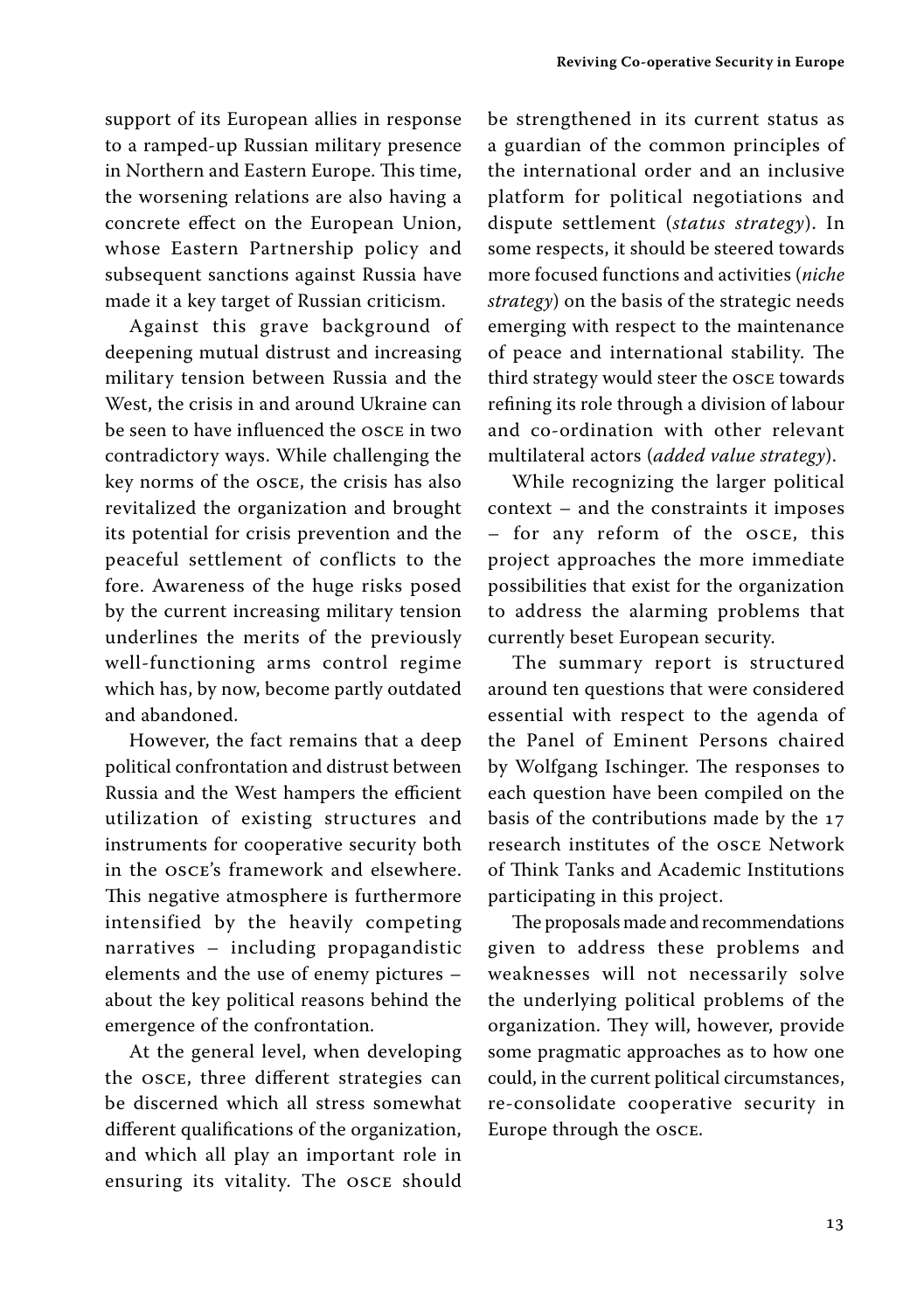support of its European allies in response to a ramped-up Russian military presence in Northern and Eastern Europe. This time, the worsening relations are also having a concrete effect on the European Union, whose Eastern Partnership policy and subsequent sanctions against Russia have made it a key target of Russian criticism.

Against this grave background of deepening mutual distrust and increasing military tension between Russia and the West, the crisis in and around Ukraine can be seen to have influenced the OSCE in two contradictory ways. While challenging the key norms of the OSCE, the crisis has also revitalized the organization and brought its potential for crisis prevention and the peaceful settlement of conflicts to the fore. Awareness of the huge risks posed by the current increasing military tension underlines the merits of the previously well-functioning arms control regime which has, by now, become partly outdated and abandoned.

However, the fact remains that a deep political confrontation and distrust between Russia and the West hampers the efficient utilization of existing structures and instruments for cooperative security both in the OSCE's framework and elsewhere. This negative atmosphere is furthermore intensified by the heavily competing narratives – including propagandistic elements and the use of enemy pictures – about the key political reasons behind the emergence of the confrontation.

At the general level, when developing the OSCE, three different strategies can be discerned which all stress somewhat different qualifications of the organization, and which all play an important role in ensuring its vitality. The OSCE should be strengthened in its current status as a guardian of the common principles of the international order and an inclusive platform for political negotiations and dispute settlement (*status strategy*). In some respects, it should be steered towards more focused functions and activities (*niche strategy*) on the basis of the strategic needs emerging with respect to the maintenance of peace and international stability. The third strategy would steer the OSCE towards refining its role through a division of labour and co-ordination with other relevant multilateral actors (*added value strategy*).

While recognizing the larger political context – and the constraints it imposes – for any reform of the OSCE, this project approaches the more immediate possibilities that exist for the organization to address the alarming problems that currently beset European security.

The summary report is structured around ten questions that were considered essential with respect to the agenda of the Panel of Eminent Persons chaired by Wolfgang Ischinger. The responses to each question have been compiled on the basis of the contributions made by the 17 research institutes of the OSCE Network of Think Tanks and Academic Institutions participating in this project.

The proposals made and recommendations given to address these problems and weaknesses will not necessarily solve the underlying political problems of the organization. They will, however, provide some pragmatic approaches as to how one could, in the current political circumstances, re-consolidate cooperative security in Europe through the OSCE.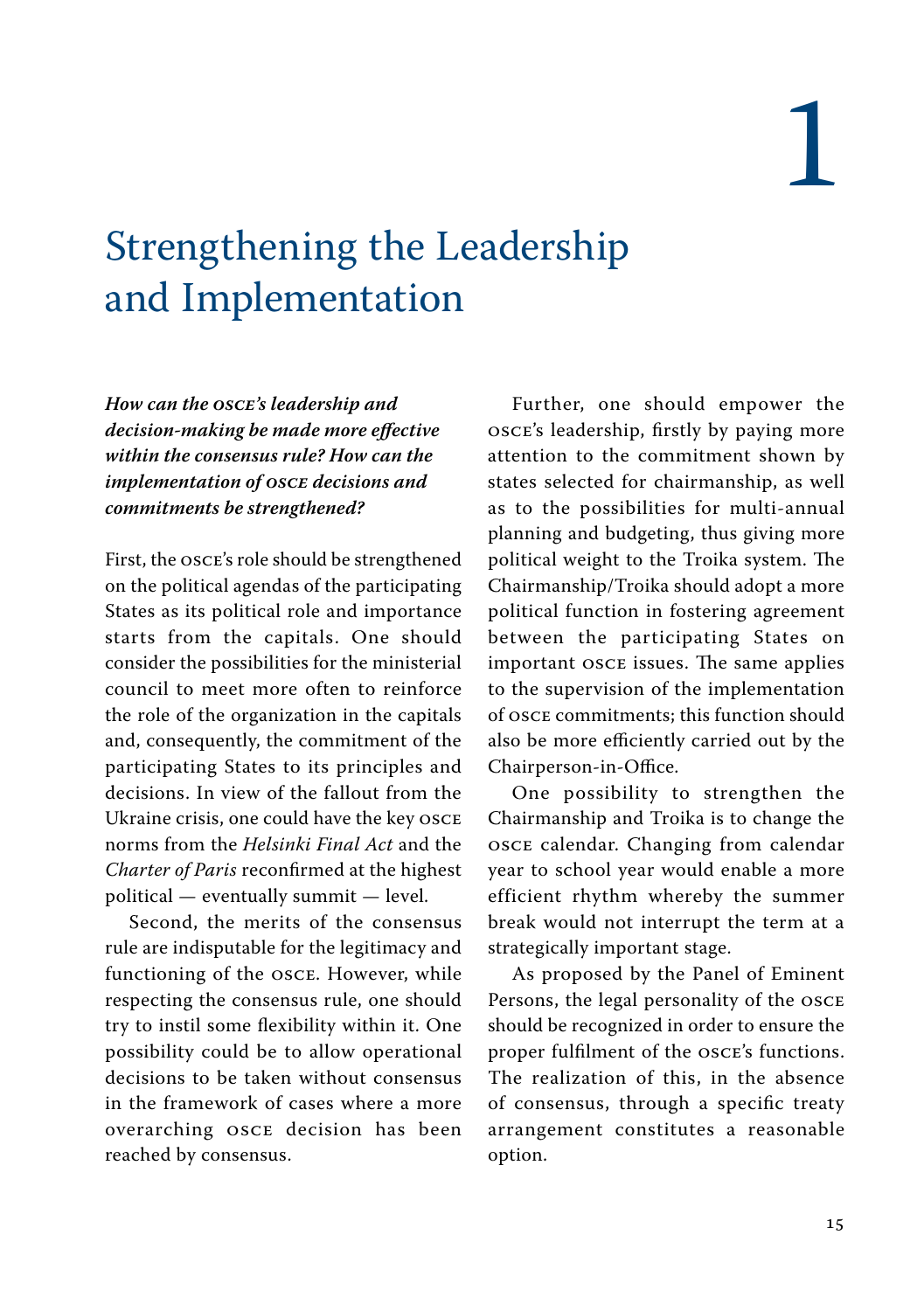# 1

### <span id="page-13-0"></span>Strengthening the Leadership and Implementation

*How can the OSCE's leadership and decision-making be made more effective within the consensus rule? How can the implementation of OSCE decisions and commitments be strengthened?*

First, the OSCE's role should be strengthened on the political agendas of the participating States as its political role and importance starts from the capitals. One should consider the possibilities for the ministerial council to meet more often to reinforce the role of the organization in the capitals and, consequently, the commitment of the participating States to its principles and decisions. In view of the fallout from the Ukraine crisis, one could have the key OSCE norms from the *Helsinki Final Act* and the *Charter of Paris* reconfirmed at the highest political — eventually summit — level.

Second, the merits of the consensus rule are indisputable for the legitimacy and functioning of the OSCE. However, while respecting the consensus rule, one should try to instil some flexibility within it. One possibility could be to allow operational decisions to be taken without consensus in the framework of cases where a more overarching OSCE decision has been reached by consensus.

Further, one should empower the OSCE's leadership, firstly by paying more attention to the commitment shown by states selected for chairmanship, as well as to the possibilities for multi-annual planning and budgeting, thus giving more political weight to the Troika system. The Chairmanship/Troika should adopt a more political function in fostering agreement between the participating States on important OSCE issues. The same applies to the supervision of the implementation of OSCE commitments; this function should also be more efficiently carried out by the Chairperson-in-Office.

One possibility to strengthen the Chairmanship and Troika is to change the OSCE calendar. Changing from calendar year to school year would enable a more efficient rhythm whereby the summer break would not interrupt the term at a strategically important stage.

As proposed by the Panel of Eminent Persons, the legal personality of the OSCE should be recognized in order to ensure the proper fulfilment of the OSCE's functions. The realization of this, in the absence of consensus, through a specific treaty arrangement constitutes a reasonable option.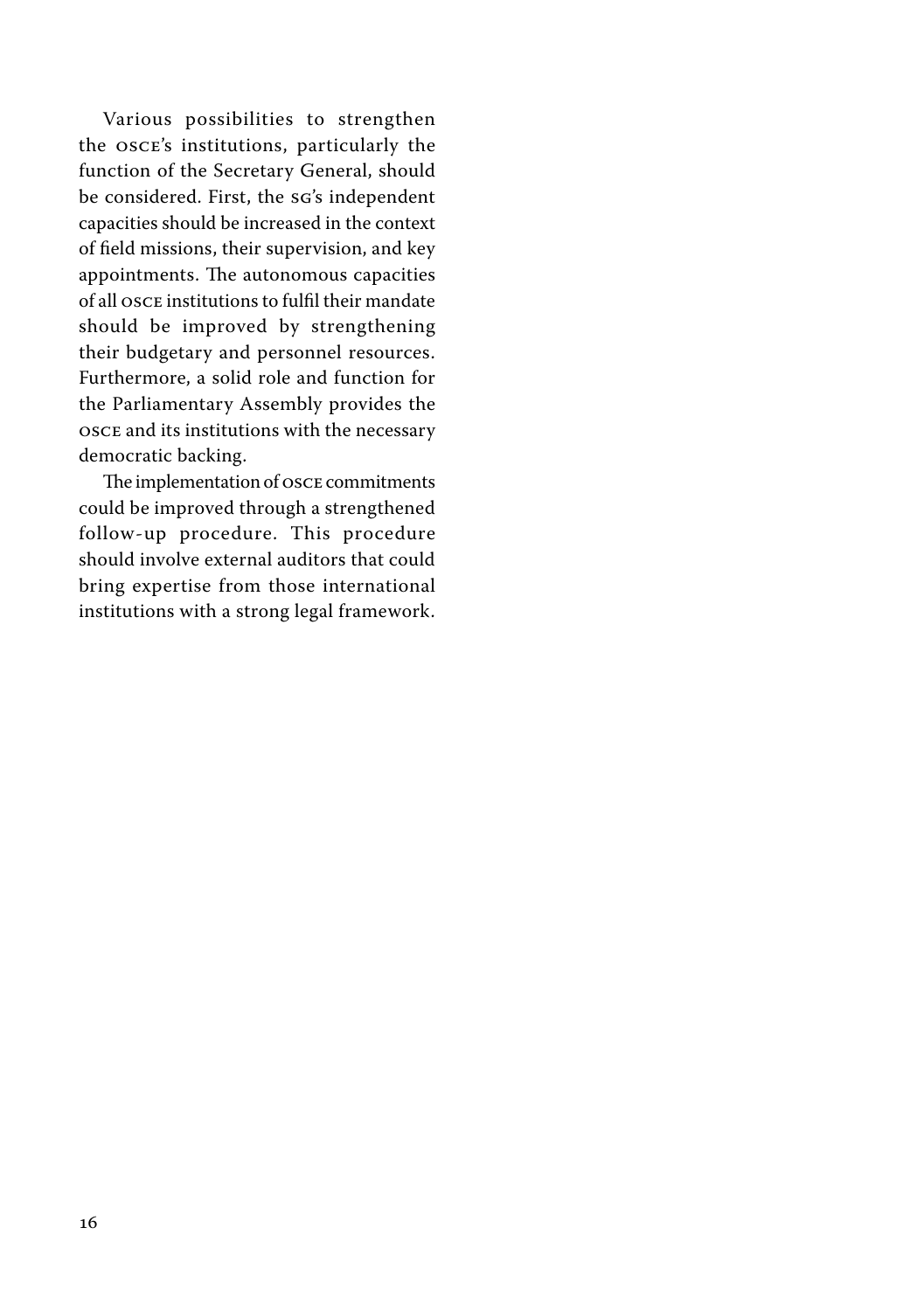Various possibilities to strengthen the OSCE's institutions, particularly the function of the Secretary General, should be considered. First, the SG's independent capacities should be increased in the context of field missions, their supervision, and key appointments. The autonomous capacities of all OSCE institutions to fulfil their mandate should be improved by strengthening their budgetary and personnel resources. Furthermore, a solid role and function for the Parliamentary Assembly provides the OSCE and its institutions with the necessary democratic backing.

The implementation of OSCE commitments could be improved through a strengthened follow-up procedure. This procedure should involve external auditors that could bring expertise from those international institutions with a strong legal framework.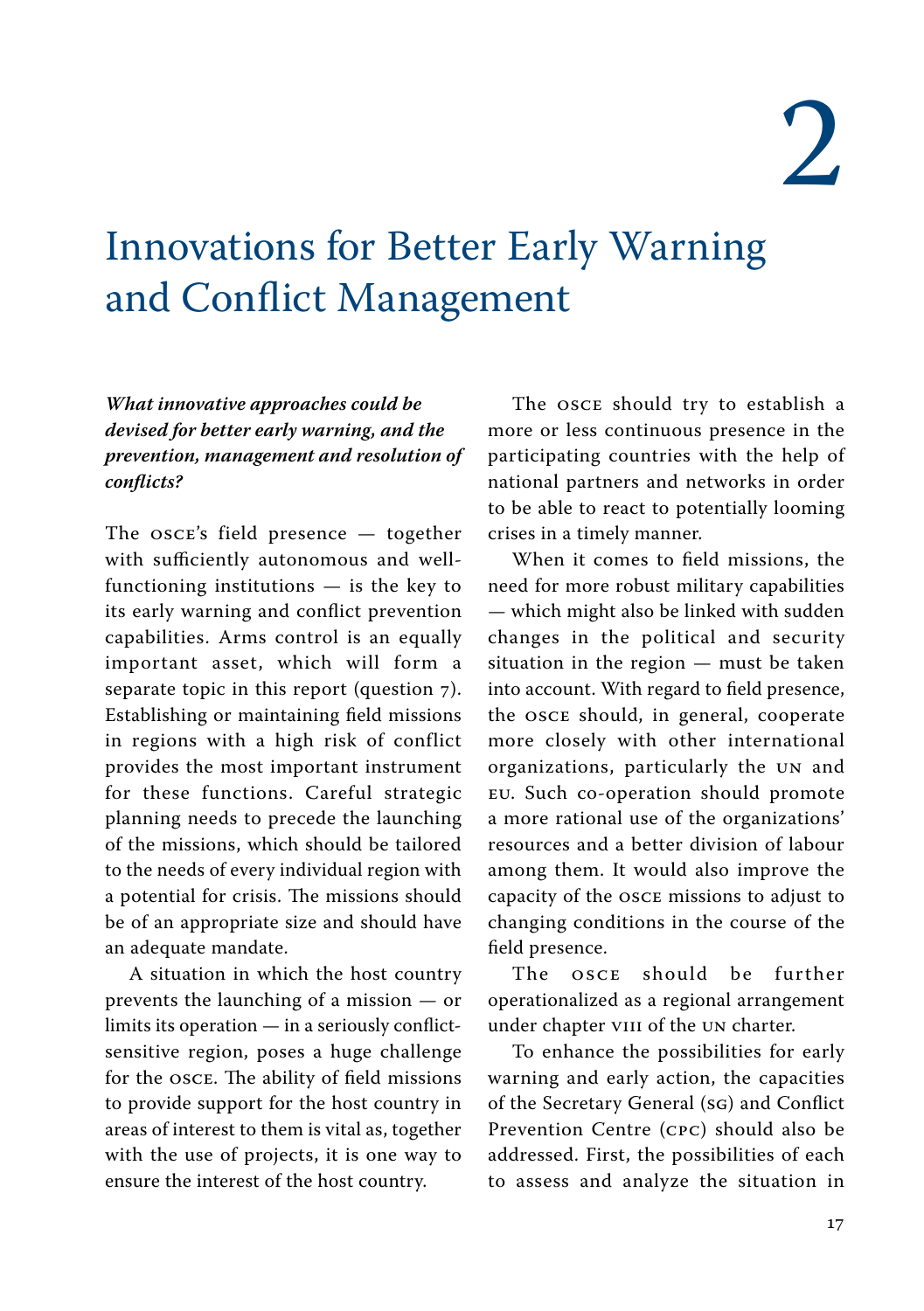2

### <span id="page-15-0"></span>Innovations for Better Early Warning and Conflict Management

*What innovative approaches could be devised for better early warning, and the prevention, management and resolution of conflicts?*

The OSCE's field presence — together with sufficiently autonomous and wellfunctioning institutions — is the key to its early warning and conflict prevention capabilities. Arms control is an equally important asset, which will form a separate topic in this report (question 7). Establishing or maintaining field missions in regions with a high risk of conflict provides the most important instrument for these functions. Careful strategic planning needs to precede the launching of the missions, which should be tailored to the needs of every individual region with a potential for crisis. The missions should be of an appropriate size and should have an adequate mandate.

A situation in which the host country prevents the launching of a mission — or limits its operation — in a seriously conflictsensitive region, poses a huge challenge for the OSCE. The ability of field missions to provide support for the host country in areas of interest to them is vital as, together with the use of projects, it is one way to ensure the interest of the host country.

The OSCE should try to establish a more or less continuous presence in the participating countries with the help of national partners and networks in order to be able to react to potentially looming crises in a timely manner.

When it comes to field missions, the need for more robust military capabilities — which might also be linked with sudden changes in the political and security situation in the region — must be taken into account. With regard to field presence, the OSCE should, in general, cooperate more closely with other international organizations, particularly the UN and EU. Such co-operation should promote a more rational use of the organizations' resources and a better division of labour among them. It would also improve the capacity of the OSCE missions to adjust to changing conditions in the course of the field presence.

The OSCE should be further operationalized as a regional arrangement under chapter VIII of the UN charter.

To enhance the possibilities for early warning and early action, the capacities of the Secretary General (SG) and Conflict Prevention Centre (CPC) should also be addressed. First, the possibilities of each to assess and analyze the situation in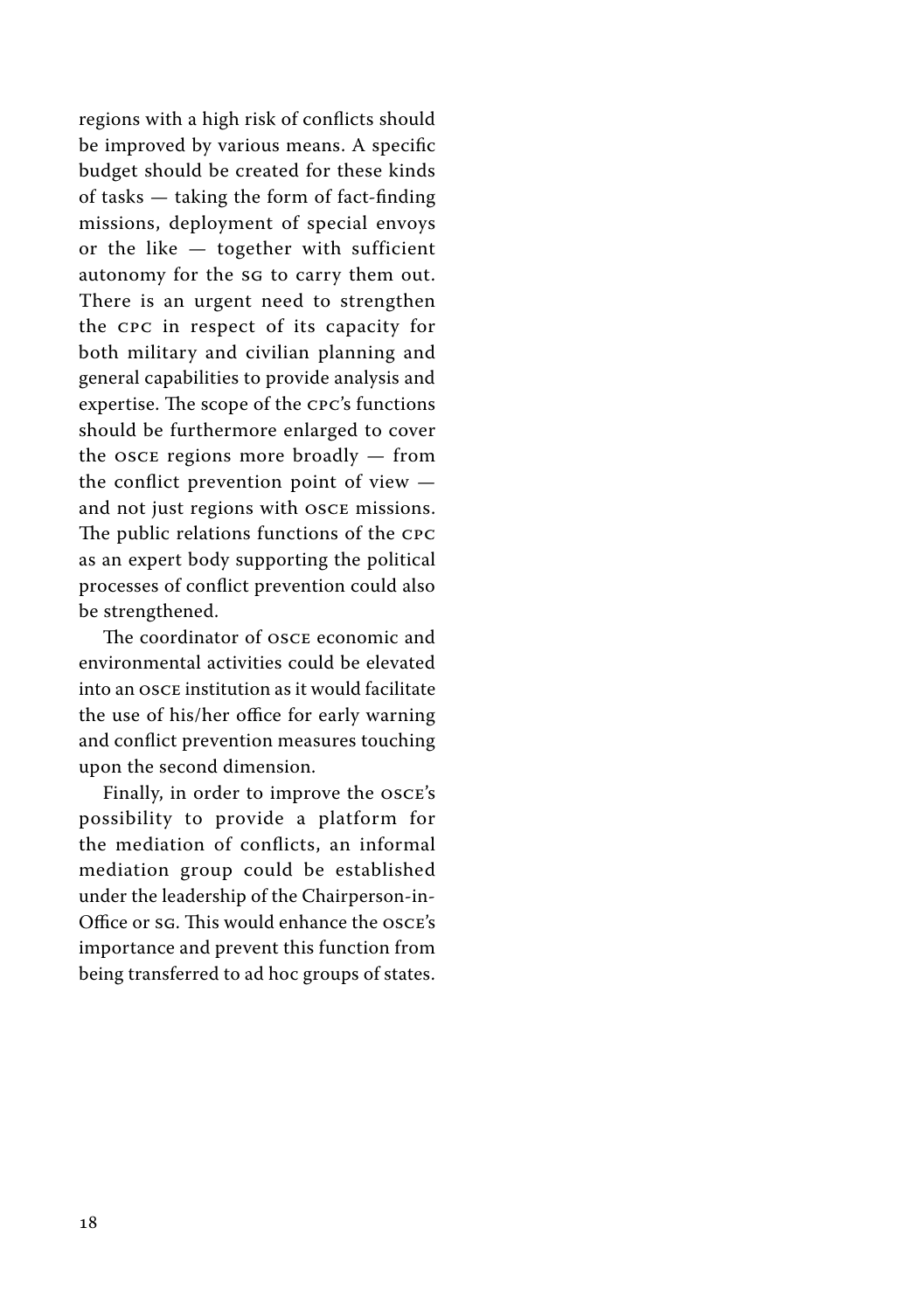regions with a high risk of conflicts should be improved by various means. A specific budget should be created for these kinds of tasks — taking the form of fact-finding missions, deployment of special envoys or the like — together with sufficient autonomy for the SG to carry them out. There is an urgent need to strengthen the CPC in respect of its capacity for both military and civilian planning and general capabilities to provide analysis and expertise. The scope of the CPC's functions should be furthermore enlarged to cover the OSCE regions more broadly — from the conflict prevention point of view and not just regions with OSCE missions. The public relations functions of the CPC as an expert body supporting the political processes of conflict prevention could also be strengthened.

The coordinator of OSCE economic and environmental activities could be elevated into an OSCE institution as it would facilitate the use of his/her office for early warning and conflict prevention measures touching upon the second dimension.

Finally, in order to improve the OSCE's possibility to provide a platform for the mediation of conflicts, an informal mediation group could be established under the leadership of the Chairperson-in-Office or SG. This would enhance the OSCE's importance and prevent this function from being transferred to ad hoc groups of states.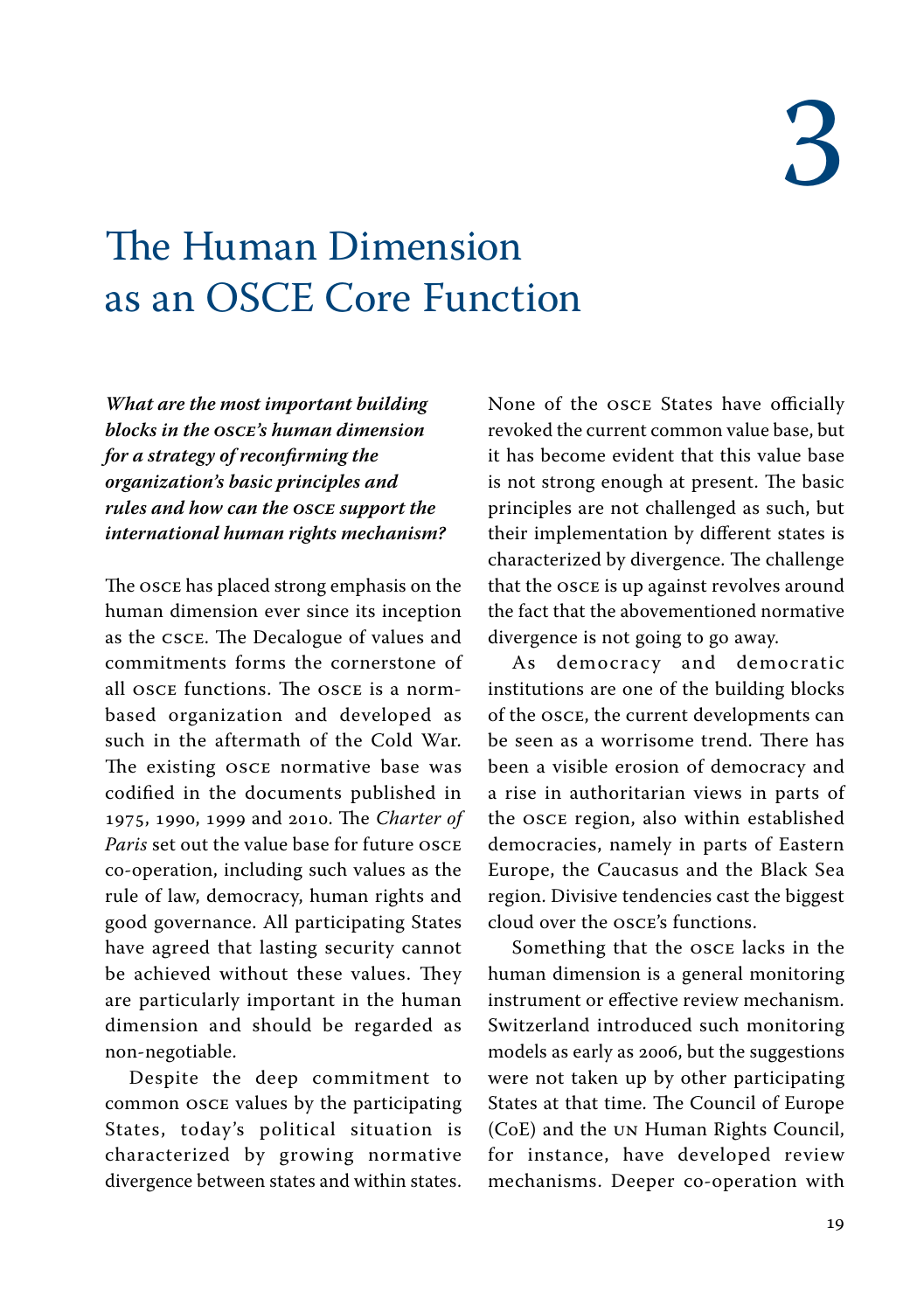### <span id="page-17-0"></span>The Human Dimension as an OSCE Core Function

*What are the most important building blocks in the OSCE's human dimension for a strategy of reconfirming the organization's basic principles and rules and how can the OSCE support the international human rights mechanism?*

The OSCE has placed strong emphasis on the human dimension ever since its inception as the CSCE. The Decalogue of values and commitments forms the cornerstone of all OSCE functions. The OSCE is a normbased organization and developed as such in the aftermath of the Cold War. The existing OSCE normative base was codified in the documents published in 1975, 1990, 1999 and 2010. The *Charter of Paris* set out the value base for future OSCE co-operation, including such values as the rule of law, democracy, human rights and good governance. All participating States have agreed that lasting security cannot be achieved without these values. They are particularly important in the human dimension and should be regarded as non-negotiable.

Despite the deep commitment to common OSCE values by the participating States, today's political situation is characterized by growing normative divergence between states and within states. None of the OSCE States have officially revoked the current common value base, but it has become evident that this value base is not strong enough at present. The basic principles are not challenged as such, but their implementation by different states is characterized by divergence. The challenge that the OSCE is up against revolves around the fact that the abovementioned normative divergence is not going to go away.

As democracy and democratic institutions are one of the building blocks of the OSCE, the current developments can be seen as a worrisome trend. There has been a visible erosion of democracy and a rise in authoritarian views in parts of the OSCE region, also within established democracies, namely in parts of Eastern Europe, the Caucasus and the Black Sea region. Divisive tendencies cast the biggest cloud over the OSCE's functions.

Something that the OSCE lacks in the human dimension is a general monitoring instrument or effective review mechanism. Switzerland introduced such monitoring models as early as 2006, but the suggestions were not taken up by other participating States at that time. The Council of Europe (CoE) and the UN Human Rights Council, for instance, have developed review mechanisms. Deeper co-operation with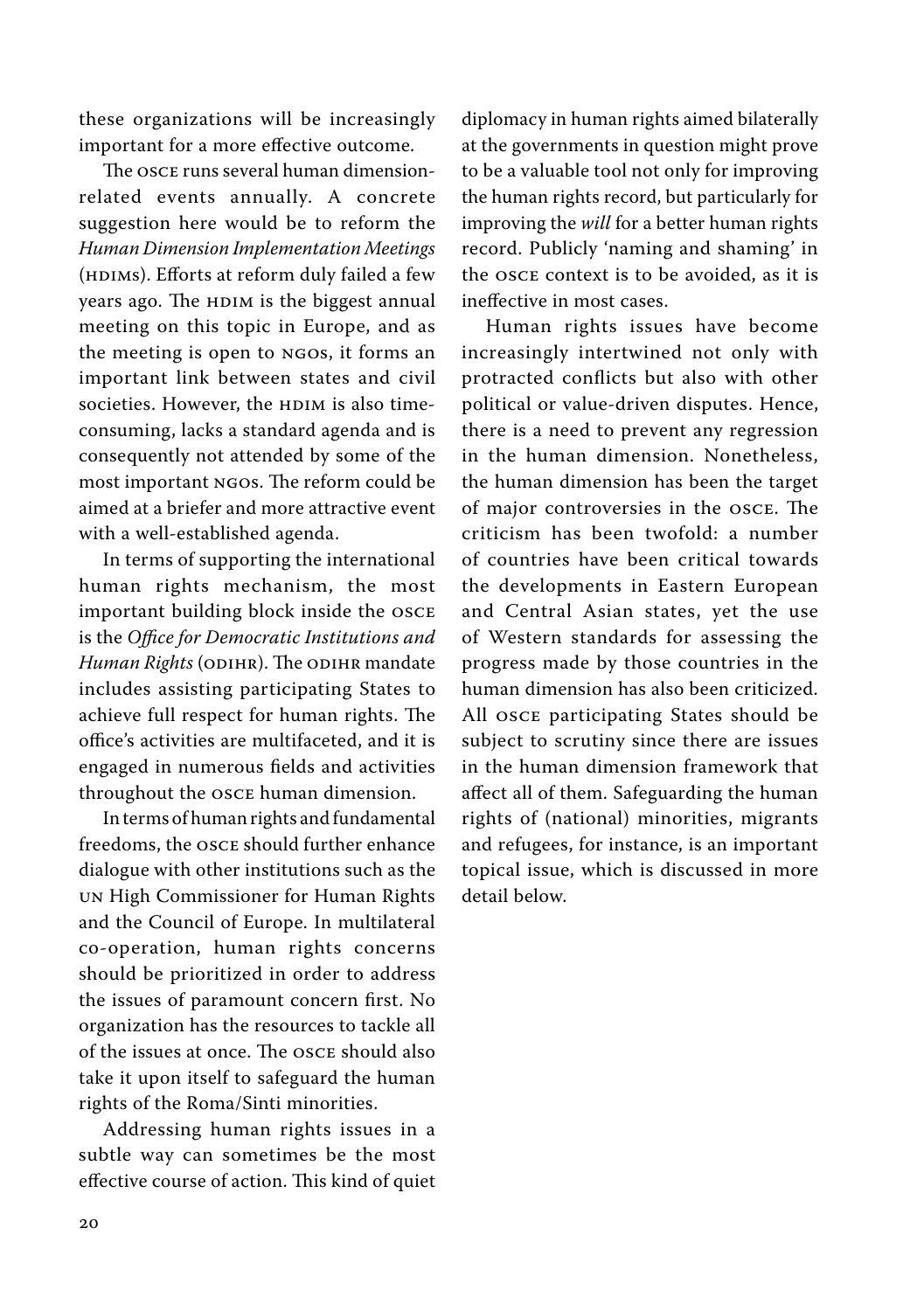these organizations will be increasingly important for a more effective outcome.

The OSCE runs several human dimensionrelated events annually. A concrete suggestion here would be to reform the *Human Dimension Implementation Meetings*  (HDIMs). Efforts at reform duly failed a few years ago. The HDIM is the biggest annual meeting on this topic in Europe, and as the meeting is open to NGOs, it forms an important link between states and civil societies. However, the HDIM is also timeconsuming, lacks a standard agenda and is consequently not attended by some of the most important NGOs. The reform could be aimed at a briefer and more attractive event with a well-established agenda.

In terms of supporting the international human rights mechanism, the most important building block inside the OSCE is the *Office for Democratic Institutions and Human Rights* (ODIHR). The ODIHR mandate includes assisting participating States to achieve full respect for human rights. The office's activities are multifaceted, and it is engaged in numerous fields and activities throughout the OSCE human dimension.

In terms of human rights and fundamental freedoms, the OSCE should further enhance dialogue with other institutions such as the UN High Commissioner for Human Rights and the Council of Europe. In multilateral co-operation, human rights concerns should be prioritized in order to address the issues of paramount concern first. No organization has the resources to tackle all of the issues at once. The OSCE should also take it upon itself to safeguard the human rights of the Roma/Sinti minorities.

Addressing human rights issues in a subtle way can sometimes be the most effective course of action. This kind of quiet diplomacy in human rights aimed bilaterally at the governments in question might prove to be a valuable tool not only for improving the human rights record, but particularly for improving the *will* for a better human rights record. Publicly 'naming and shaming' in the OSCE context is to be avoided, as it is ineffective in most cases.

Human rights issues have become increasingly intertwined not only with protracted conflicts but also with other political or value-driven disputes. Hence, there is a need to prevent any regression in the human dimension. Nonetheless, the human dimension has been the target of major controversies in the OSCE. The criticism has been twofold: a number of countries have been critical towards the developments in Eastern European and Central Asian states, yet the use of Western standards for assessing the progress made by those countries in the human dimension has also been criticized. All OSCE participating States should be subject to scrutiny since there are issues in the human dimension framework that affect all of them. Safeguarding the human rights of (national) minorities, migrants and refugees, for instance, is an important topical issue, which is discussed in more detail below.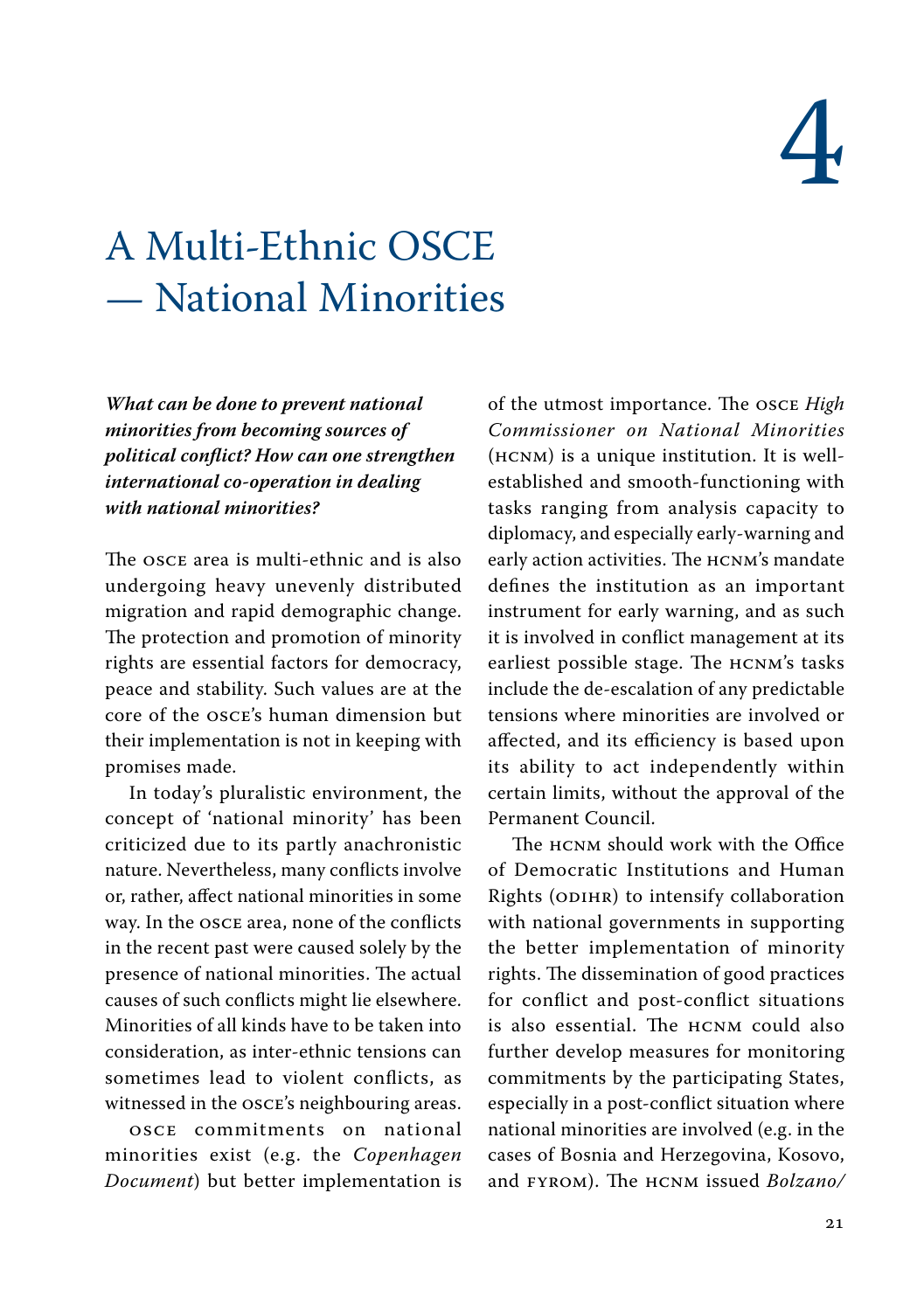## 4

### <span id="page-19-0"></span>A Multi-Ethnic OSCE — National Minorities

*What can be done to prevent national minorities from becoming sources of political conflict? How can one strengthen international co-operation in dealing with national minorities?*

The OSCE area is multi-ethnic and is also undergoing heavy unevenly distributed migration and rapid demographic change. The protection and promotion of minority rights are essential factors for democracy, peace and stability. Such values are at the core of the OSCE's human dimension but their implementation is not in keeping with promises made.

In today's pluralistic environment, the concept of 'national minority' has been criticized due to its partly anachronistic nature. Nevertheless, many conflicts involve or, rather, affect national minorities in some way. In the OSCE area, none of the conflicts in the recent past were caused solely by the presence of national minorities. The actual causes of such conflicts might lie elsewhere. Minorities of all kinds have to be taken into consideration, as inter-ethnic tensions can sometimes lead to violent conflicts, as witnessed in the OSCE's neighbouring areas.

OSCE commitments on national minorities exist (e.g. the *Copenhagen Document*) but better implementation is of the utmost importance. The OSCE *High Commissioner on National Minorities* (HCNM) is a unique institution. It is wellestablished and smooth-functioning with tasks ranging from analysis capacity to diplomacy, and especially early-warning and early action activities. The HCNM's mandate defines the institution as an important instrument for early warning, and as such it is involved in conflict management at its earliest possible stage. The HCNM's tasks include the de-escalation of any predictable tensions where minorities are involved or affected, and its efficiency is based upon its ability to act independently within certain limits, without the approval of the Permanent Council.

The HCNM should work with the Office of Democratic Institutions and Human Rights (ODIHR) to intensify collaboration with national governments in supporting the better implementation of minority rights. The dissemination of good practices for conflict and post-conflict situations is also essential. The HCNM could also further develop measures for monitoring commitments by the participating States, especially in a post-conflict situation where national minorities are involved (e.g. in the cases of Bosnia and Herzegovina, Kosovo, and FYROM). The HCNM issued *Bolzano/*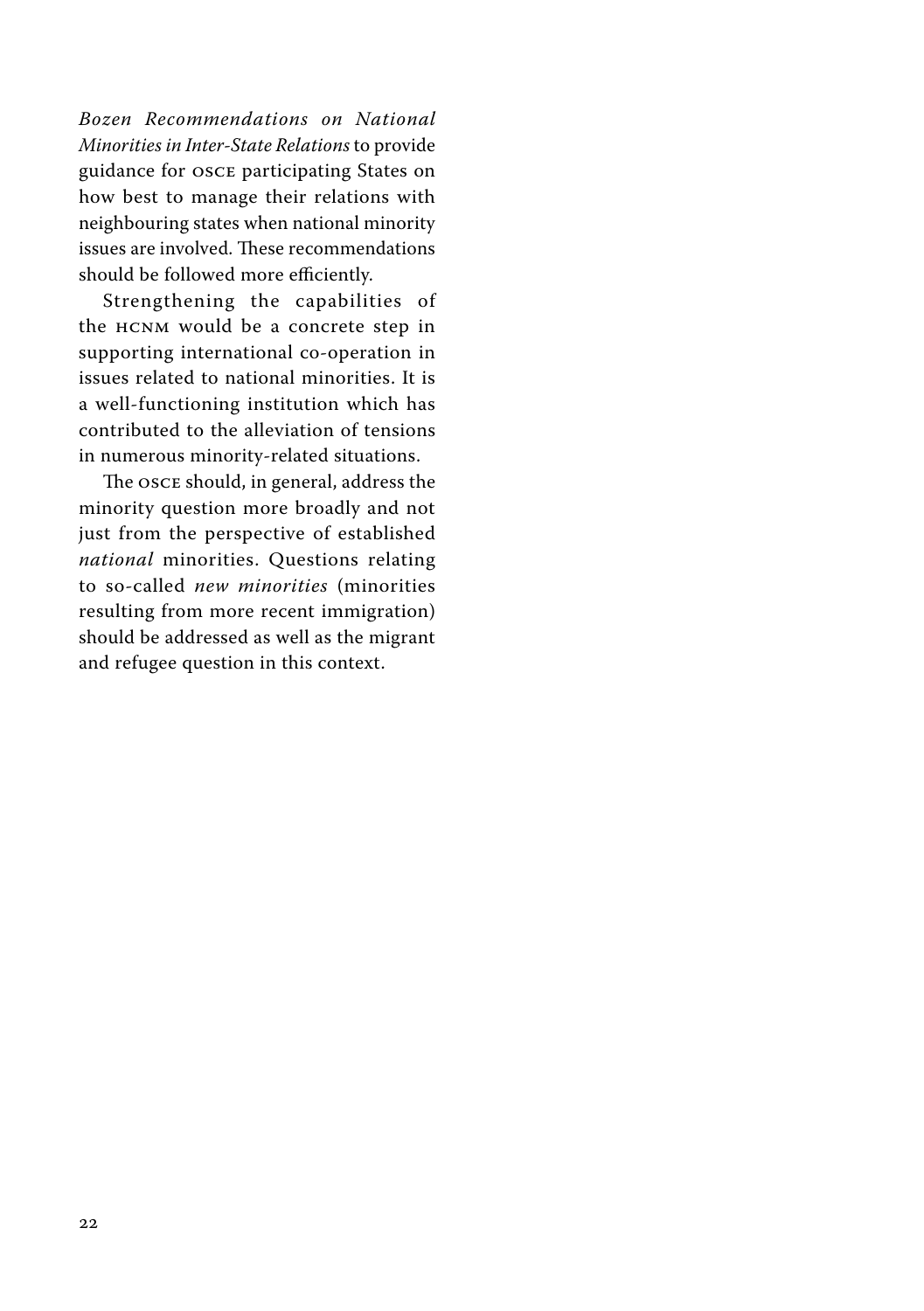*Bozen Recommendations on National Minorities in Inter-State Relations* to provide guidance for OSCE participating States on how best to manage their relations with neighbouring states when national minority issues are involved. These recommendations should be followed more efficiently.

Strengthening the capabilities of the HCNM would be a concrete step in supporting international co-operation in issues related to national minorities. It is a well-functioning institution which has contributed to the alleviation of tensions in numerous minority-related situations.

The OSCE should, in general, address the minority question more broadly and not just from the perspective of established *national* minorities. Questions relating to so-called *new minorities* (minorities resulting from more recent immigration) should be addressed as well as the migrant and refugee question in this context.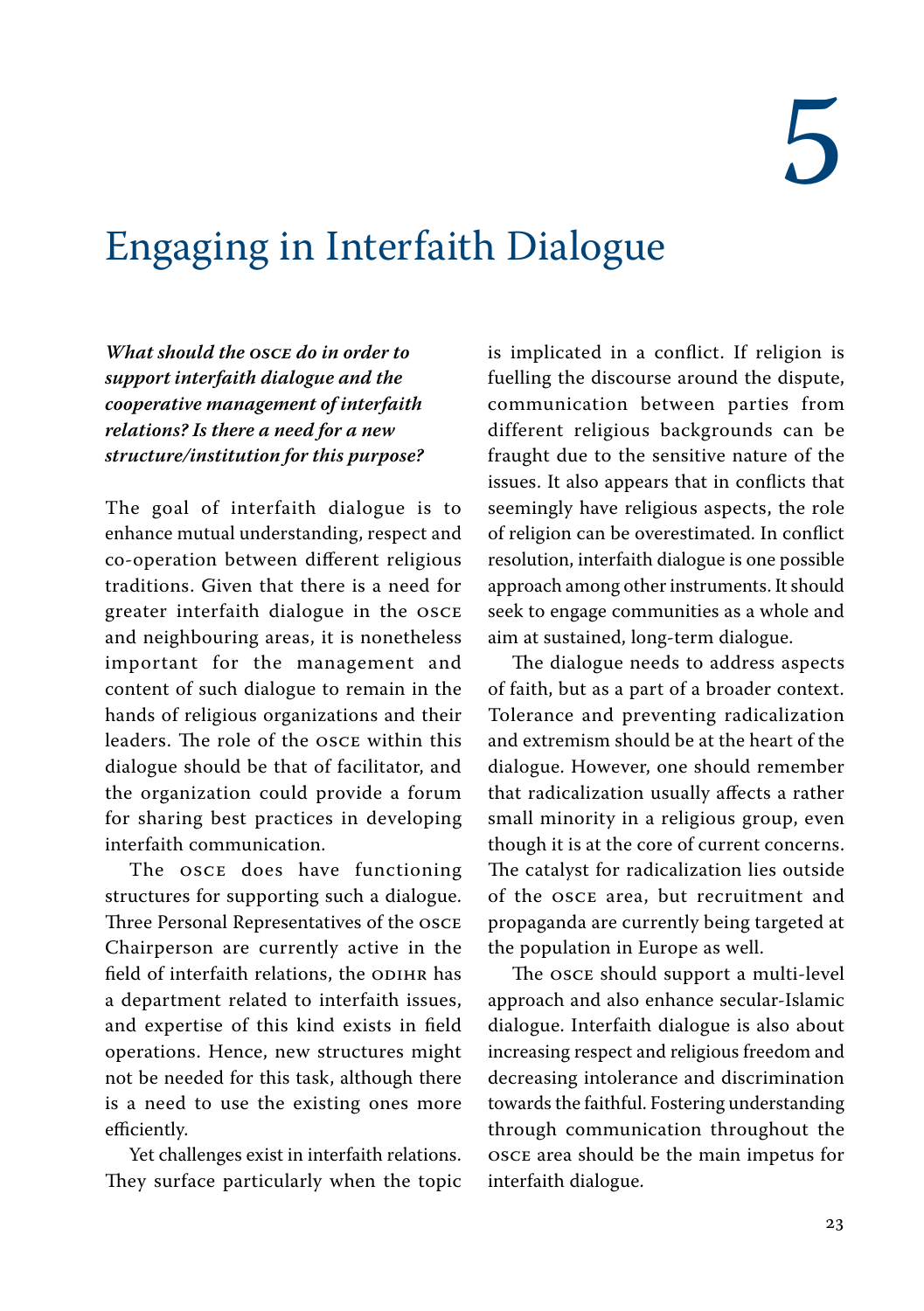### <span id="page-21-0"></span>Engaging in Interfaith Dialogue

*What should the OSCE do in order to support interfaith dialogue and the cooperative management of interfaith relations? Is there a need for a new structure/institution for this purpose?*

The goal of interfaith dialogue is to enhance mutual understanding, respect and co-operation between different religious traditions. Given that there is a need for greater interfaith dialogue in the OSCE and neighbouring areas, it is nonetheless important for the management and content of such dialogue to remain in the hands of religious organizations and their leaders. The role of the OSCE within this dialogue should be that of facilitator, and the organization could provide a forum for sharing best practices in developing interfaith communication.

The OSCE does have functioning structures for supporting such a dialogue. Three Personal Representatives of the OSCE Chairperson are currently active in the field of interfaith relations, the ODIHR has a department related to interfaith issues, and expertise of this kind exists in field operations. Hence, new structures might not be needed for this task, although there is a need to use the existing ones more efficiently.

Yet challenges exist in interfaith relations. They surface particularly when the topic is implicated in a conflict. If religion is fuelling the discourse around the dispute, communication between parties from different religious backgrounds can be fraught due to the sensitive nature of the issues. It also appears that in conflicts that seemingly have religious aspects, the role of religion can be overestimated. In conflict resolution, interfaith dialogue is one possible approach among other instruments. It should seek to engage communities as a whole and aim at sustained, long-term dialogue.

The dialogue needs to address aspects of faith, but as a part of a broader context. Tolerance and preventing radicalization and extremism should be at the heart of the dialogue. However, one should remember that radicalization usually affects a rather small minority in a religious group, even though it is at the core of current concerns. The catalyst for radicalization lies outside of the OSCE area, but recruitment and propaganda are currently being targeted at the population in Europe as well.

The OSCE should support a multi-level approach and also enhance secular-Islamic dialogue. Interfaith dialogue is also about increasing respect and religious freedom and decreasing intolerance and discrimination towards the faithful. Fostering understanding through communication throughout the OSCE area should be the main impetus for interfaith dialogue.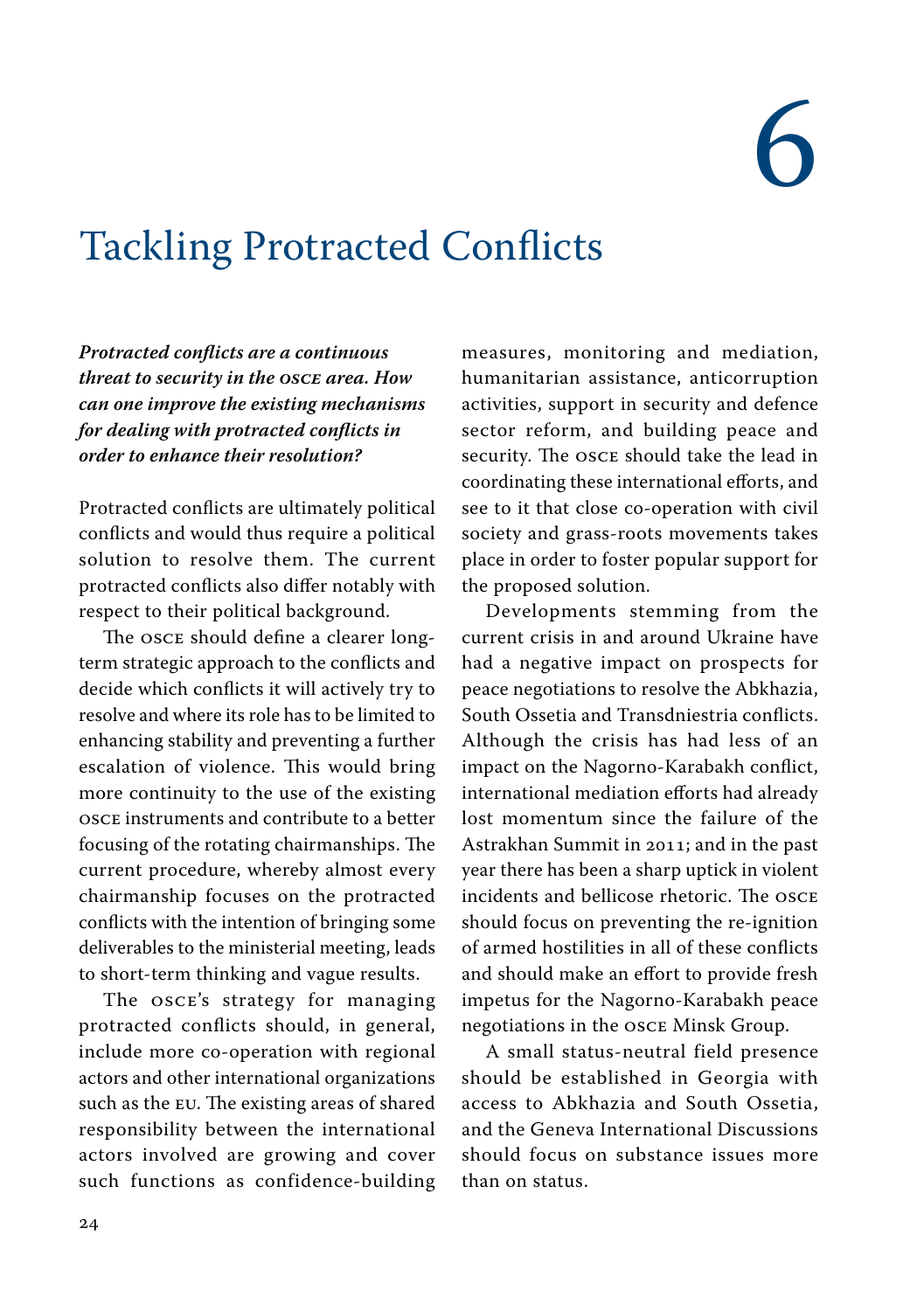# 6

### <span id="page-22-0"></span>Tackling Protracted Conflicts

*Protracted conflicts are a continuous threat to security in the OSCE area. How can one improve the existing mechanisms for dealing with protracted conflicts in order to enhance their resolution?*

Protracted conflicts are ultimately political conflicts and would thus require a political solution to resolve them. The current protracted conflicts also differ notably with respect to their political background.

The OSCE should define a clearer longterm strategic approach to the conflicts and decide which conflicts it will actively try to resolve and where its role has to be limited to enhancing stability and preventing a further escalation of violence. This would bring more continuity to the use of the existing OSCE instruments and contribute to a better focusing of the rotating chairmanships. The current procedure, whereby almost every chairmanship focuses on the protracted conflicts with the intention of bringing some deliverables to the ministerial meeting, leads to short-term thinking and vague results.

The OSCE's strategy for managing protracted conflicts should, in general, include more co-operation with regional actors and other international organizations such as the EU. The existing areas of shared responsibility between the international actors involved are growing and cover such functions as confidence-building measures, monitoring and mediation, humanitarian assistance, anticorruption activities, support in security and defence sector reform, and building peace and security. The OSCE should take the lead in coordinating these international efforts, and see to it that close co-operation with civil society and grass-roots movements takes place in order to foster popular support for the proposed solution.

Developments stemming from the current crisis in and around Ukraine have had a negative impact on prospects for peace negotiations to resolve the Abkhazia, South Ossetia and Transdniestria conflicts. Although the crisis has had less of an impact on the Nagorno-Karabakh conflict, international mediation efforts had already lost momentum since the failure of the Astrakhan Summit in 2011; and in the past year there has been a sharp uptick in violent incidents and bellicose rhetoric. The OSCE should focus on preventing the re-ignition of armed hostilities in all of these conflicts and should make an effort to provide fresh impetus for the Nagorno-Karabakh peace negotiations in the OSCE Minsk Group.

A small status-neutral field presence should be established in Georgia with access to Abkhazia and South Ossetia, and the Geneva International Discussions should focus on substance issues more than on status.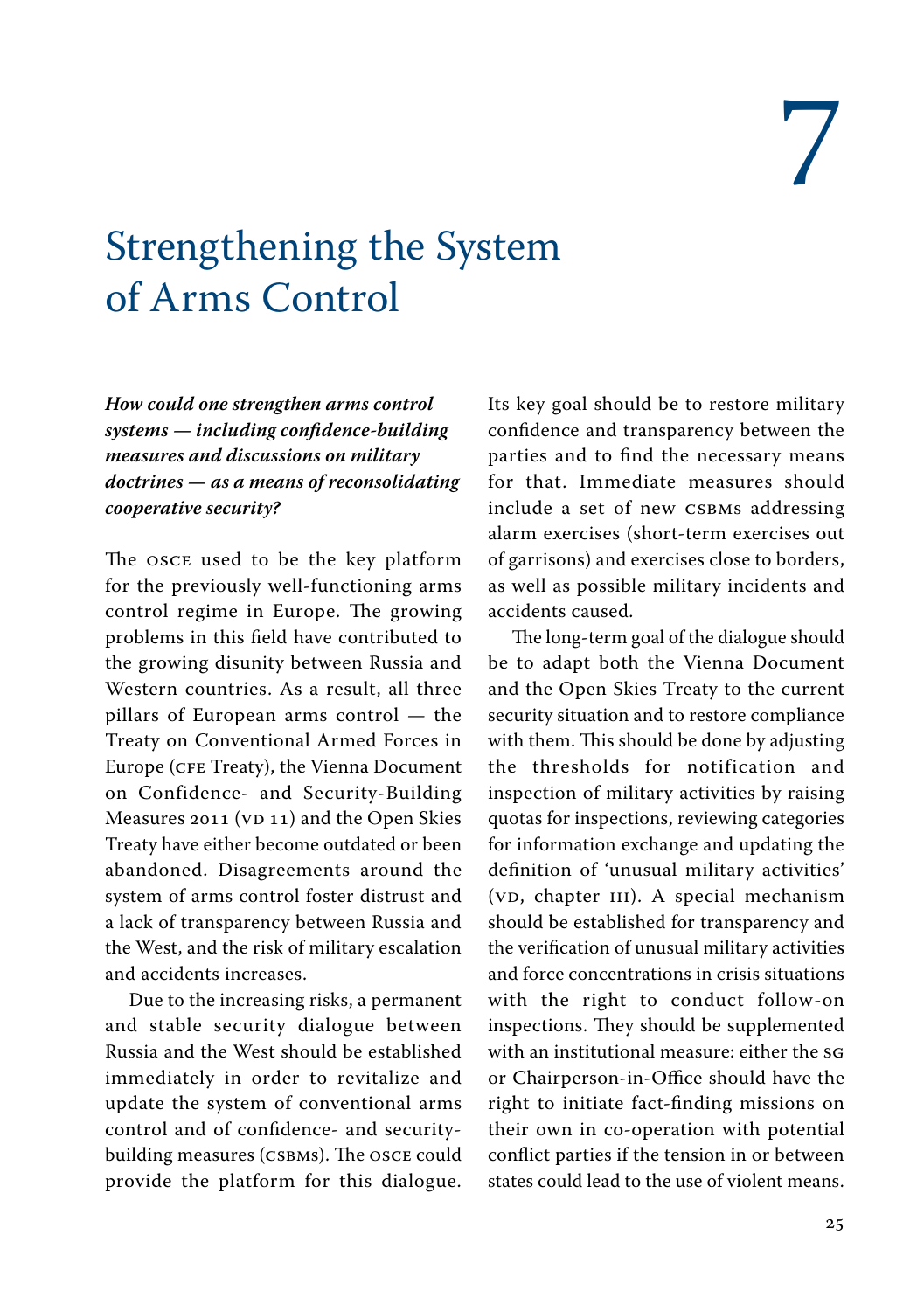### <span id="page-23-0"></span>Strengthening the System of Arms Control

*How could one strengthen arms control systems — including confidence-building measures and discussions on military doctrines — as a means of reconsolidating cooperative security?*

The OSCE used to be the key platform for the previously well-functioning arms control regime in Europe. The growing problems in this field have contributed to the growing disunity between Russia and Western countries. As a result, all three pillars of European arms control — the Treaty on Conventional Armed Forces in Europe (CFE Treaty), the Vienna Document on Confidence- and Security-Building Measures 2011 (VD 11) and the Open Skies Treaty have either become outdated or been abandoned. Disagreements around the system of arms control foster distrust and a lack of transparency between Russia and the West, and the risk of military escalation and accidents increases.

Due to the increasing risks, a permanent and stable security dialogue between Russia and the West should be established immediately in order to revitalize and update the system of conventional arms control and of confidence- and securitybuilding measures (CSBMs). The OSCE could provide the platform for this dialogue. Its key goal should be to restore military confidence and transparency between the parties and to find the necessary means for that. Immediate measures should include a set of new CSBMs addressing alarm exercises (short-term exercises out of garrisons) and exercises close to borders, as well as possible military incidents and accidents caused.

The long-term goal of the dialogue should be to adapt both the Vienna Document and the Open Skies Treaty to the current security situation and to restore compliance with them. This should be done by adjusting the thresholds for notification and inspection of military activities by raising quotas for inspections, reviewing categories for information exchange and updating the definition of 'unusual military activities' (VD, chapter III). A special mechanism should be established for transparency and the verification of unusual military activities and force concentrations in crisis situations with the right to conduct follow-on inspections. They should be supplemented with an institutional measure: either the SG or Chairperson-in-Office should have the right to initiate fact-finding missions on their own in co-operation with potential conflict parties if the tension in or between states could lead to the use of violent means.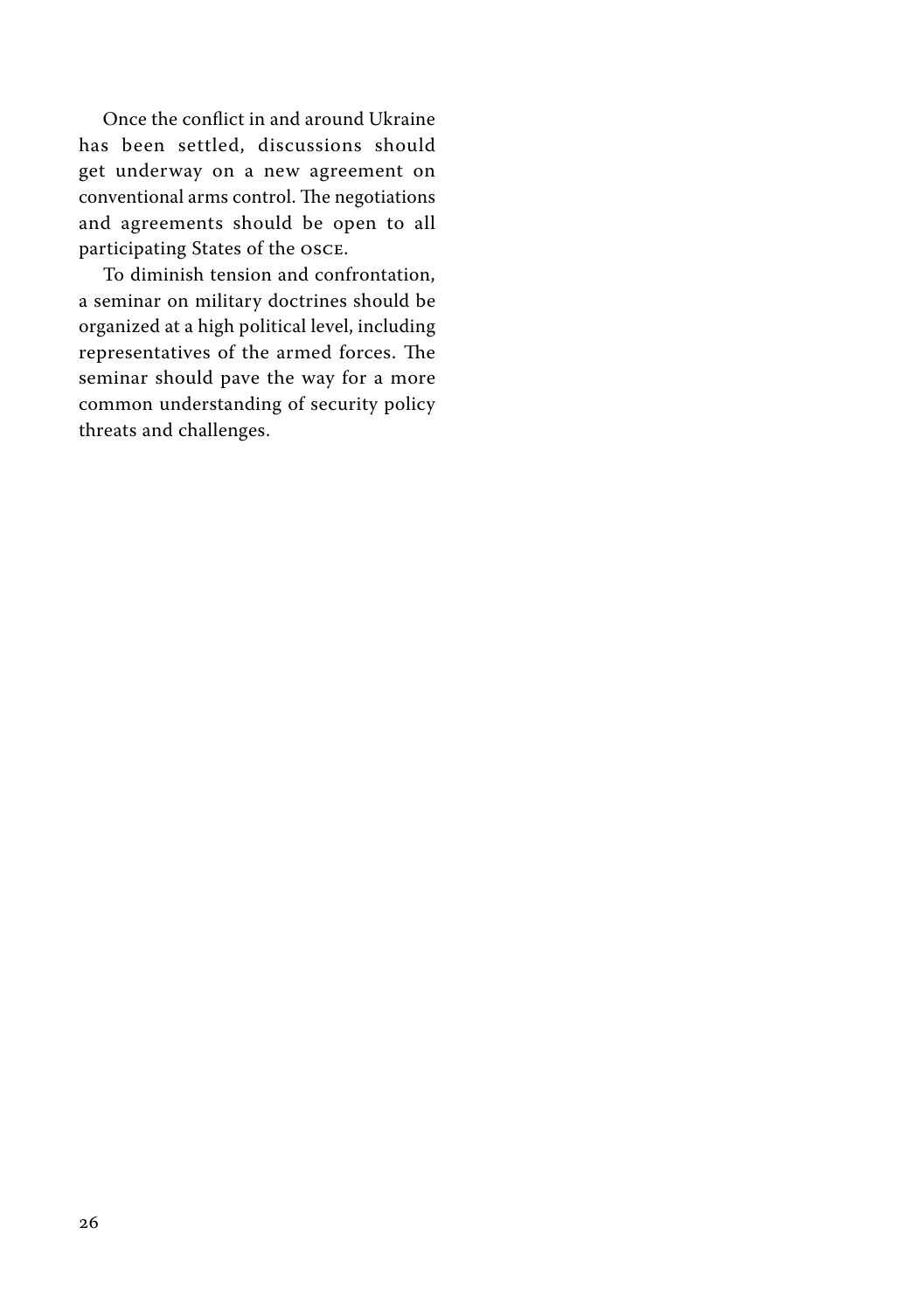Once the conflict in and around Ukraine has been settled, discussions should get underway on a new agreement on conventional arms control. The negotiations and agreements should be open to all participating States of the OSCE.

To diminish tension and confrontation, a seminar on military doctrines should be organized at a high political level, including representatives of the armed forces. The seminar should pave the way for a more common understanding of security policy threats and challenges.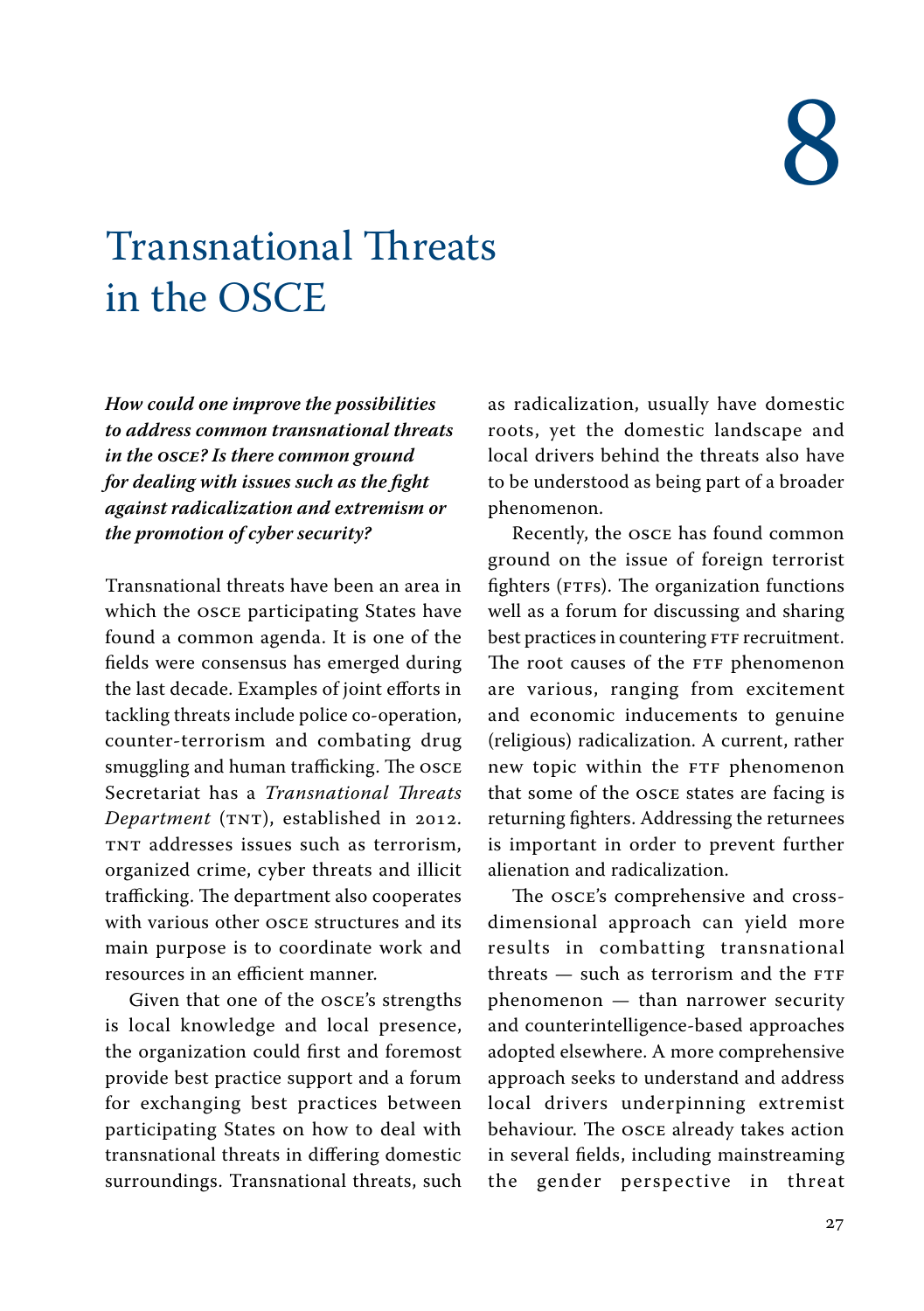### <span id="page-25-0"></span>**Transnational Threats** in the OSCE

*How could one improve the possibilities to address common transnational threats in the OSCE? Is there common ground for dealing with issues such as the fight against radicalization and extremism or the promotion of cyber security?*

Transnational threats have been an area in which the OSCE participating States have found a common agenda. It is one of the fields were consensus has emerged during the last decade. Examples of joint efforts in tackling threats include police co-operation, counter-terrorism and combating drug smuggling and human trafficking. The OSCE Secretariat has a *Transnational Threats Department* (TNT), established in 2012. TNT addresses issues such as terrorism, organized crime, cyber threats and illicit trafficking. The department also cooperates with various other OSCE structures and its main purpose is to coordinate work and resources in an efficient manner.

Given that one of the OSCE's strengths is local knowledge and local presence, the organization could first and foremost provide best practice support and a forum for exchanging best practices between participating States on how to deal with transnational threats in differing domestic surroundings. Transnational threats, such as radicalization, usually have domestic roots, yet the domestic landscape and local drivers behind the threats also have to be understood as being part of a broader phenomenon.

Recently, the OSCE has found common ground on the issue of foreign terrorist fighters (FTFs). The organization functions well as a forum for discussing and sharing best practices in countering FTF recruitment. The root causes of the FTF phenomenon are various, ranging from excitement and economic inducements to genuine (religious) radicalization. A current, rather new topic within the FTF phenomenon that some of the OSCE states are facing is returning fighters. Addressing the returnees is important in order to prevent further alienation and radicalization.

The OSCE's comprehensive and crossdimensional approach can yield more results in combatting transnational threats — such as terrorism and the FTF phenomenon — than narrower security and counterintelligence-based approaches adopted elsewhere. A more comprehensive approach seeks to understand and address local drivers underpinning extremist behaviour. The OSCE already takes action in several fields, including mainstreaming the gender perspective in threat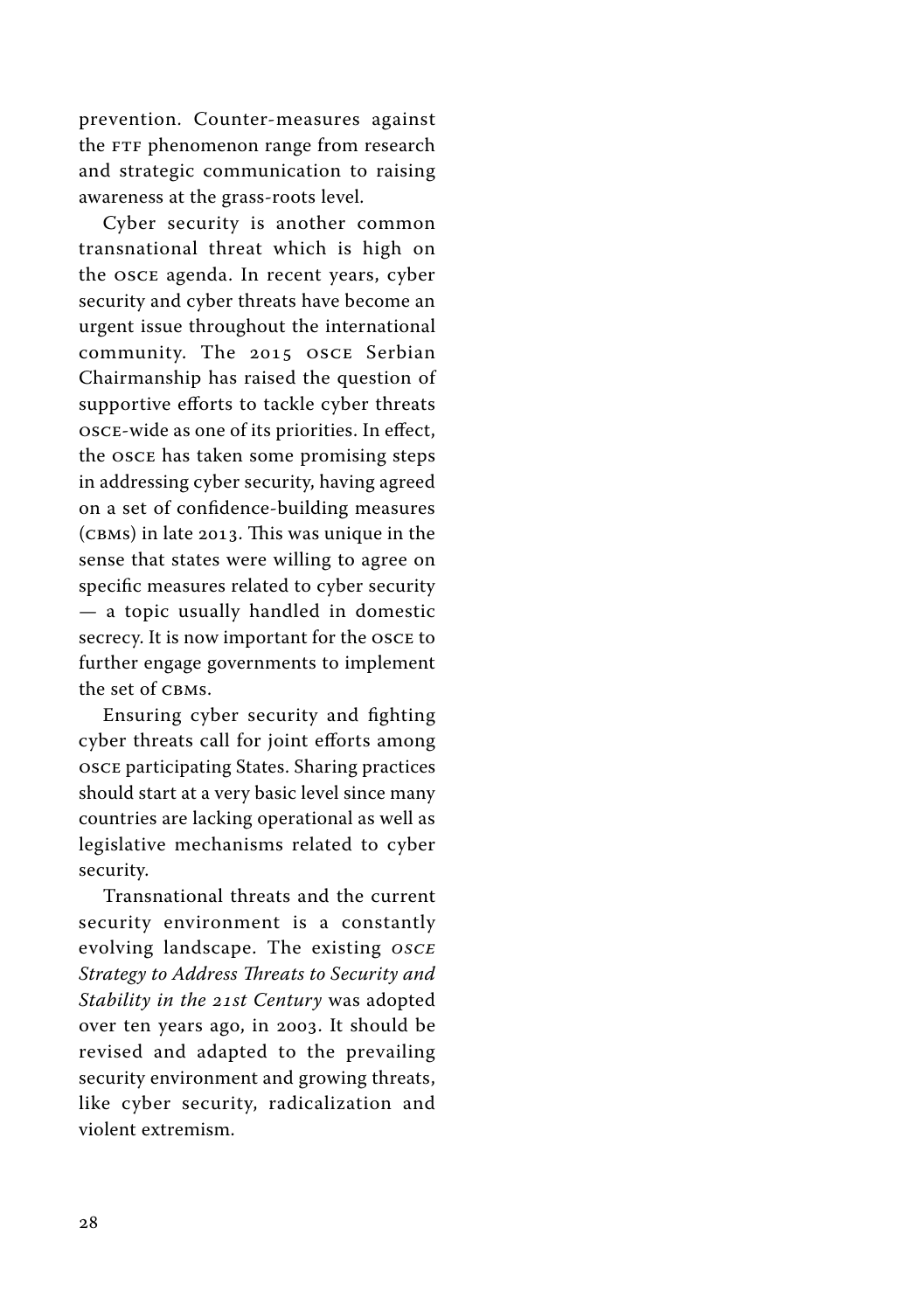prevention. Counter-measures against the FTF phenomenon range from research and strategic communication to raising awareness at the grass-roots level.

Cyber security is another common transnational threat which is high on the OSCE agenda. In recent years, cyber security and cyber threats have become an urgent issue throughout the international community. The 2015 OSCE Serbian Chairmanship has raised the question of supportive efforts to tackle cyber threats OSCE-wide as one of its priorities. In effect, the OSCE has taken some promising steps in addressing cyber security, having agreed on a set of confidence-building measures (CBMs) in late 2013. This was unique in the sense that states were willing to agree on specific measures related to cyber security — a topic usually handled in domestic secrecy. It is now important for the OSCE to further engage governments to implement the set of CBMs.

Ensuring cyber security and fighting cyber threats call for joint efforts among OSCE participating States. Sharing practices should start at a very basic level since many countries are lacking operational as well as legislative mechanisms related to cyber security.

Transnational threats and the current security environment is a constantly evolving landscape. The existing *OSCE Strategy to Address Threats to Security and Stability in the 21st Century* was adopted over ten years ago, in 2003. It should be revised and adapted to the prevailing security environment and growing threats, like cyber security, radicalization and violent extremism.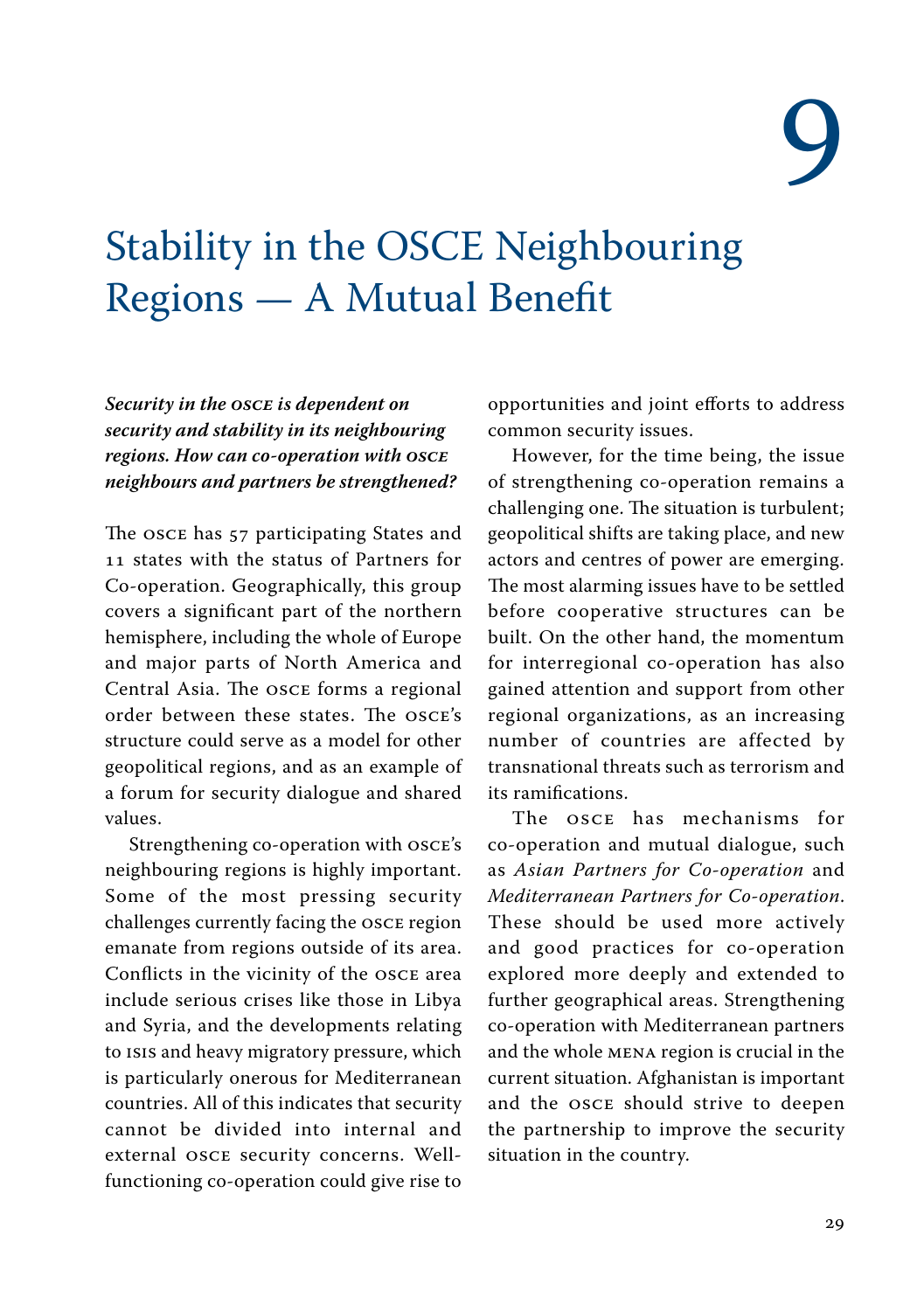# 9

### <span id="page-27-0"></span>Stability in the OSCE Neighbouring Regions — A Mutual Benefit

*Security in the OSCE is dependent on security and stability in its neighbouring regions. How can co-operation with OSCE neighbours and partners be strengthened?*

The OSCE has 57 participating States and 11 states with the status of Partners for Co-operation. Geographically, this group covers a significant part of the northern hemisphere, including the whole of Europe and major parts of North America and Central Asia. The OSCE forms a regional order between these states. The OSCE's structure could serve as a model for other geopolitical regions, and as an example of a forum for security dialogue and shared values.

Strengthening co-operation with OSCE's neighbouring regions is highly important. Some of the most pressing security challenges currently facing the OSCE region emanate from regions outside of its area. Conflicts in the vicinity of the OSCE area include serious crises like those in Libya and Syria, and the developments relating to ISIS and heavy migratory pressure, which is particularly onerous for Mediterranean countries. All of this indicates that security cannot be divided into internal and external OSCE security concerns. Wellfunctioning co-operation could give rise to opportunities and joint efforts to address common security issues.

However, for the time being, the issue of strengthening co-operation remains a challenging one. The situation is turbulent; geopolitical shifts are taking place, and new actors and centres of power are emerging. The most alarming issues have to be settled before cooperative structures can be built. On the other hand, the momentum for interregional co-operation has also gained attention and support from other regional organizations, as an increasing number of countries are affected by transnational threats such as terrorism and its ramifications.

The OSCE has mechanisms for co-operation and mutual dialogue, such as *Asian Partners for Co-operation* and *Mediterranean Partners for Co-operation*. These should be used more actively and good practices for co-operation explored more deeply and extended to further geographical areas. Strengthening co-operation with Mediterranean partners and the whole MENA region is crucial in the current situation. Afghanistan is important and the OSCE should strive to deepen the partnership to improve the security situation in the country.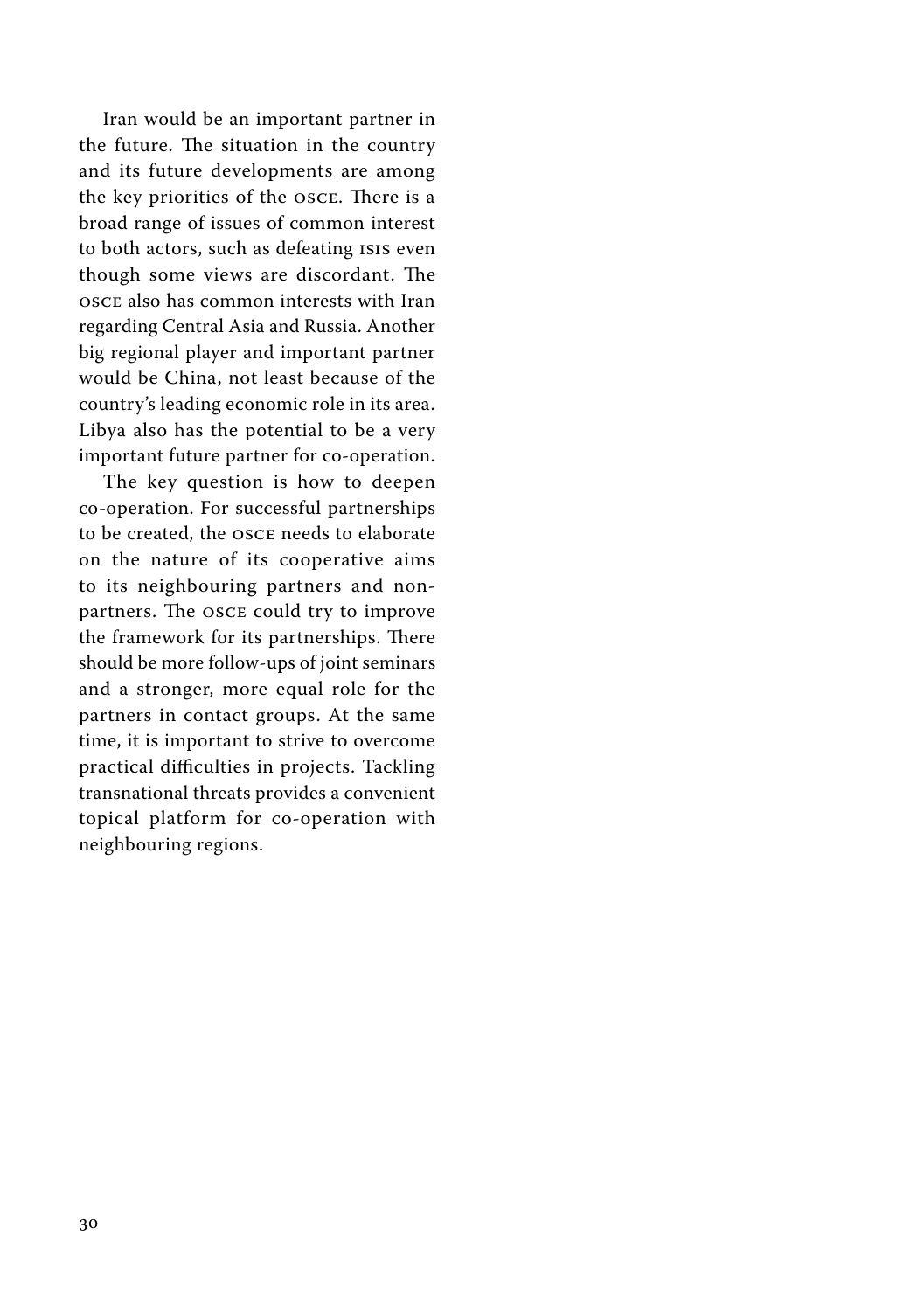Iran would be an important partner in the future. The situation in the country and its future developments are among the key priorities of the OSCE. There is a broad range of issues of common interest to both actors, such as defeating ISIS even though some views are discordant. The OSCE also has common interests with Iran regarding Central Asia and Russia. Another big regional player and important partner would be China, not least because of the country's leading economic role in its area. Libya also has the potential to be a very important future partner for co-operation.

The key question is how to deepen co-operation. For successful partnerships to be created, the OSCE needs to elaborate on the nature of its cooperative aims to its neighbouring partners and nonpartners. The OSCE could try to improve the framework for its partnerships. There should be more follow-ups of joint seminars and a stronger, more equal role for the partners in contact groups. At the same time, it is important to strive to overcome practical difficulties in projects. Tackling transnational threats provides a convenient topical platform for co-operation with neighbouring regions.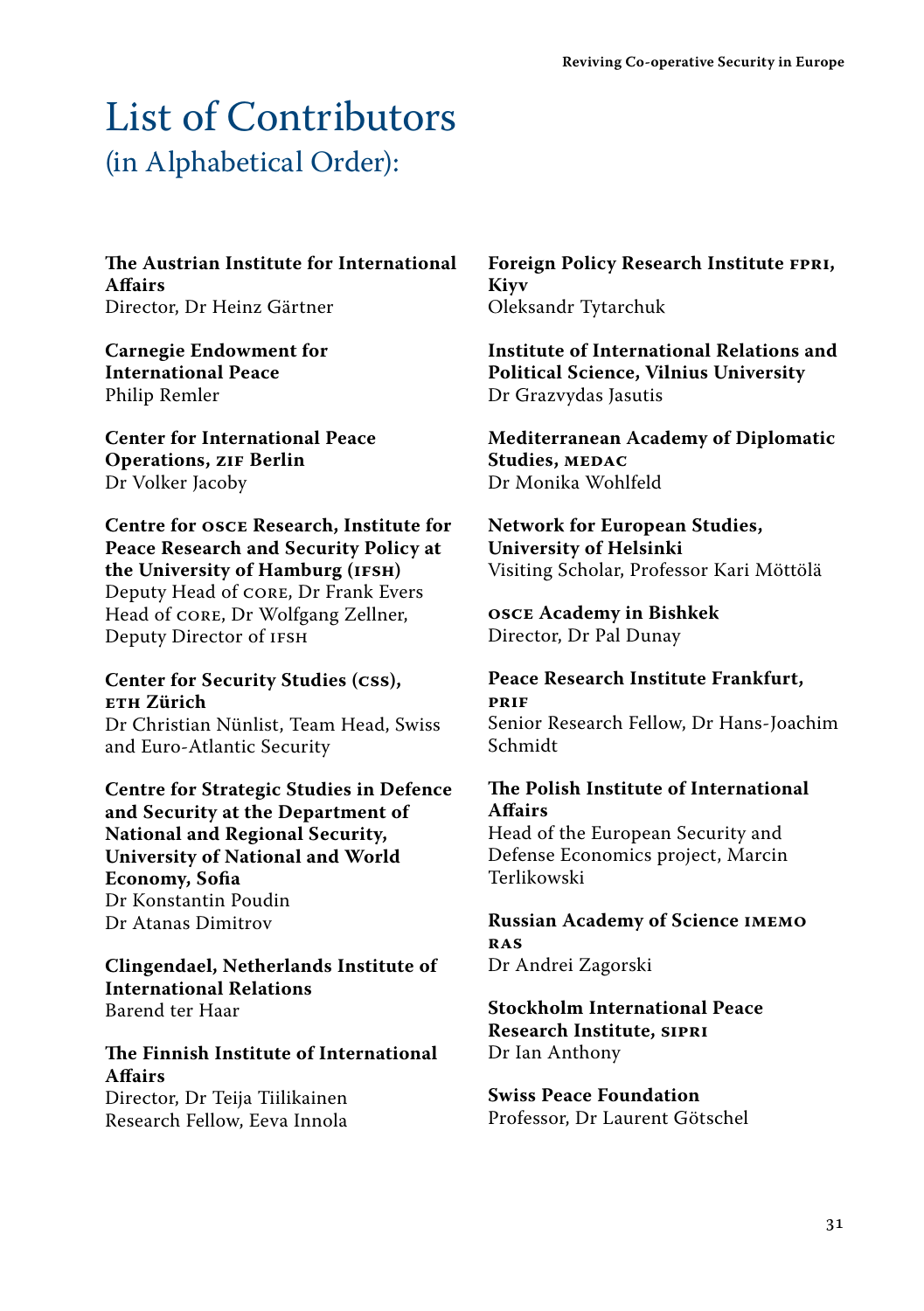### <span id="page-29-0"></span>List of Contributors (in Alphabetical Order):

**The Austrian Institute for International Affairs** Director, Dr Heinz Gärtner

**Carnegie Endowment for International Peace** Philip Remler

**Center for International Peace Operations, ZIF Berlin** Dr Volker Jacoby

**Centre for OSCE Research, Institute for Peace Research and Security Policy at the University of Hamburg (IFSH)** Deputy Head of CORE, Dr Frank Evers Head of CORE, Dr Wolfgang Zellner, Deputy Director of IFSH

**Center for Security Studies (CSS), ETH Zürich**

Dr Christian Nünlist, Team Head, Swiss and Euro-Atlantic Security

**Centre for Strategic Studies in Defence and Security at the Department of National and Regional Security, University of National and World Economy, Sofia** Dr Konstantin Poudin Dr Atanas Dimitrov

**Clingendael, Netherlands Institute of International Relations** Barend ter Haar

#### **The Finnish Institute of International Affairs**

Director, Dr Teija Tiilikainen Research Fellow, Eeva Innola **Foreign Policy Research Institute FPRI, Kiyv** Oleksandr Tytarchuk

**Institute of International Relations and Political Science, Vilnius University** Dr Grazvydas Jasutis

**Mediterranean Academy of Diplomatic Studies, MEDAC** Dr Monika Wohlfeld

**Network for European Studies, University of Helsinki** Visiting Scholar, Professor Kari Möttölä

**OSCE Academy in Bishkek** Director, Dr Pal Dunay

**Peace Research Institute Frankfurt, PRIF** Senior Research Fellow, Dr Hans-Joachim Schmidt

#### **The Polish Institute of International Affairs**

Head of the European Security and Defense Economics project, Marcin Terlikowski

**Russian Academy of Science IMEMO RAS** Dr Andrei Zagorski

**Stockholm International Peace Research Institute, SIPRI** Dr Ian Anthony

**Swiss Peace Foundation** Professor, Dr Laurent Götschel